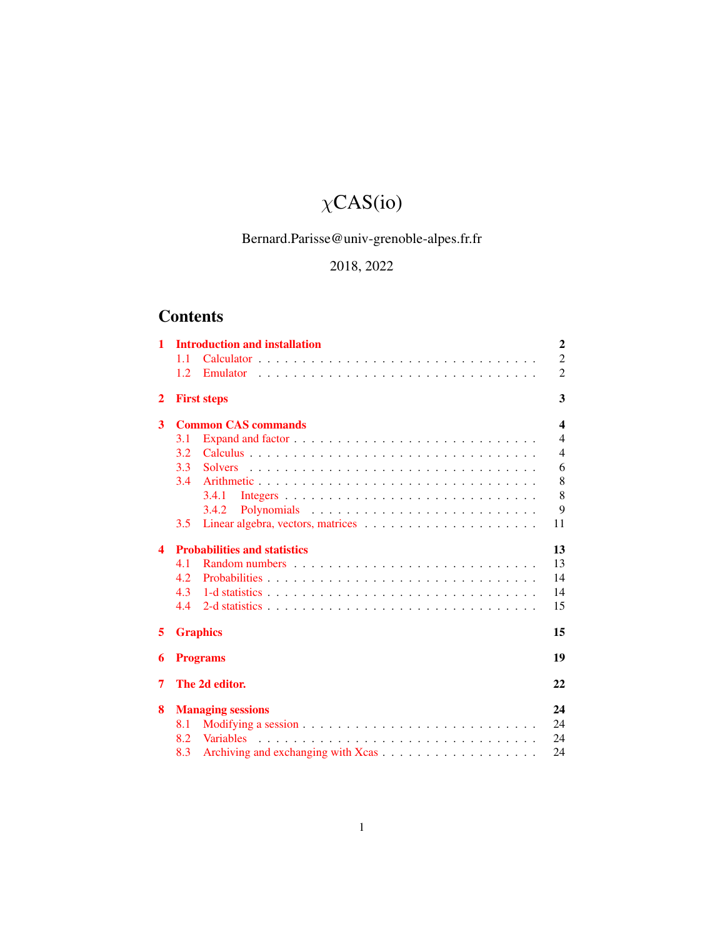# $\chi$ CAS(io)

# Bernard.Parisse@univ-grenoble-alpes.fr.fr

# 2018, 2022

# **Contents**

| 1 | <b>Introduction and installation</b> | $\overline{2}$   |
|---|--------------------------------------|------------------|
|   | 1.1                                  | $\overline{2}$   |
|   | 1.2.<br>Emulator                     | $\overline{2}$   |
| 2 | <b>First steps</b>                   | 3                |
| 3 | <b>Common CAS commands</b>           | $\boldsymbol{4}$ |
|   | 3.1                                  | $\overline{4}$   |
|   | 3.2                                  | $\overline{4}$   |
|   | 3.3<br><b>Solvers</b>                | 6                |
|   | 3.4<br>Arithmetic                    | 8                |
|   | 3.4.1                                | 8                |
|   | 3.4.2                                | 9                |
|   | 3.5                                  | 11               |
| 4 | <b>Probabilities and statistics</b>  | 13               |
|   | 4.1                                  | 13               |
|   | 4.2.                                 | 14               |
|   | 4.3                                  | 14               |
|   | 4.4                                  | 15               |
| 5 | <b>Graphics</b>                      | 15               |
| 6 | <b>Programs</b>                      | 19               |
| 7 | The 2d editor.                       | 22               |
| 8 | <b>Managing sessions</b>             | 24               |
|   | 8.1                                  | 24               |
|   | <b>Variables</b><br>8.2              | 24               |
|   | 8.3                                  | 24               |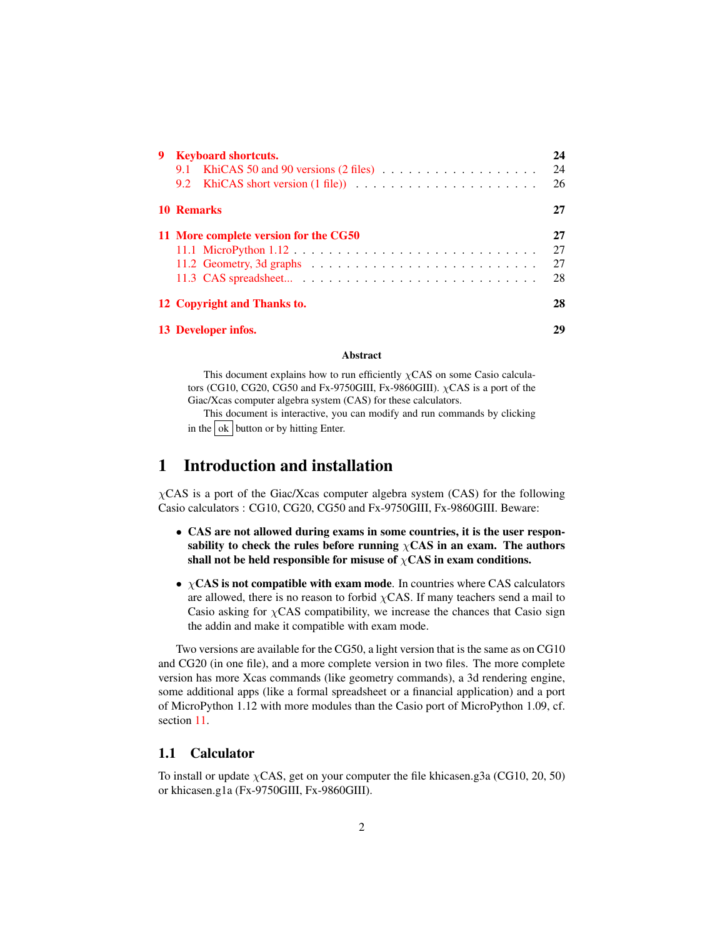| 9 Keyboard shortcuts.                                                                     | 24 |
|-------------------------------------------------------------------------------------------|----|
|                                                                                           | 24 |
|                                                                                           | 26 |
| 10 Remarks                                                                                | 27 |
| 11 More complete version for the CG50                                                     | 27 |
|                                                                                           | 27 |
| 11.2 Geometry, 3d graphs $\ldots \ldots \ldots \ldots \ldots \ldots \ldots \ldots \ldots$ | 27 |
|                                                                                           | 28 |
| 12 Copyright and Thanks to.                                                               | 28 |
| 13 Developer infos.                                                                       | 29 |

#### Abstract

This document explains how to run efficiently  $\chi$ CAS on some Casio calculators (CG10, CG20, CG50 and Fx-9750GIII, Fx-9860GIII).  $\chi$ CAS is a port of the Giac/Xcas computer algebra system (CAS) for these calculators.

This document is interactive, you can modify and run commands by clicking in the  $\vert$  ok  $\vert$  button or by hitting Enter.

# <span id="page-1-0"></span>1 Introduction and installation

 $\chi$ CAS is a port of the Giac/Xcas computer algebra system (CAS) for the following Casio calculators : CG10, CG20, CG50 and Fx-9750GIII, Fx-9860GIII. Beware:

- CAS are not allowed during exams in some countries, it is the user responsability to check the rules before running  $\chi$ CAS in an exam. The authors shall not be held responsible for misuse of  $\chi$ CAS in exam conditions.
- $\chi$ CAS is not compatible with exam mode. In countries where CAS calculators are allowed, there is no reason to forbid  $\chi$ CAS. If many teachers send a mail to Casio asking for  $\chi$ CAS compatibility, we increase the chances that Casio sign the addin and make it compatible with exam mode.

Two versions are available for the CG50, a light version that is the same as on CG10 and CG20 (in one file), and a more complete version in two files. The more complete version has more Xcas commands (like geometry commands), a 3d rendering engine, some additional apps (like a formal spreadsheet or a financial application) and a port of MicroPython 1.12 with more modules than the Casio port of MicroPython 1.09, cf. section [11.](#page-26-1)

## <span id="page-1-1"></span>1.1 Calculator

To install or update  $\chi$ CAS, get on your computer the file khicasen.g3a (CG10, 20, 50) or khicasen.g1a (Fx-9750GIII, Fx-9860GIII).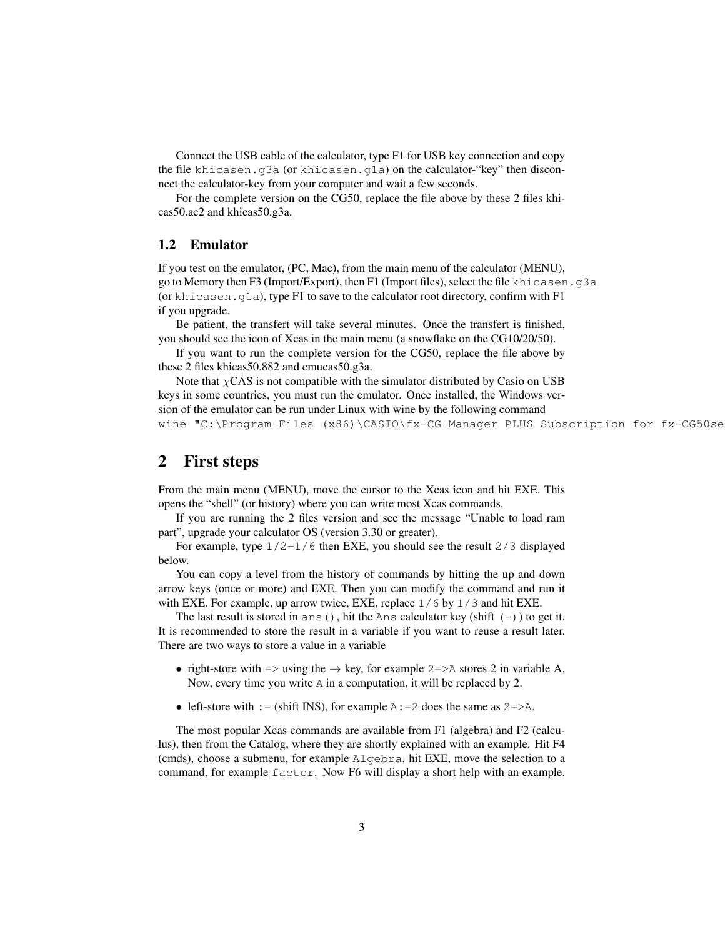Connect the USB cable of the calculator, type F1 for USB key connection and copy the file khicasen.g3a (or khicasen.g1a) on the calculator-"key" then disconnect the calculator-key from your computer and wait a few seconds.

For the complete version on the CG50, replace the file above by these 2 files khicas50.ac2 and khicas50.g3a.

## <span id="page-2-0"></span>1.2 Emulator

If you test on the emulator, (PC, Mac), from the main menu of the calculator (MENU), go to Memory then F3 (Import/Export), then F1 (Import files), select the file khicasen.g3a (or khicasen,  $q1a$ ), type F1 to save to the calculator root directory, confirm with F1 if you upgrade.

Be patient, the transfert will take several minutes. Once the transfert is finished, you should see the icon of Xcas in the main menu (a snowflake on the CG10/20/50).

If you want to run the complete version for the CG50, replace the file above by these 2 files khicas50.882 and emucas50.g3a.

Note that  $\chi$ CAS is not compatible with the simulator distributed by Casio on USB keys in some countries, you must run the emulator. Once installed, the Windows version of the emulator can be run under Linux with wine by the following command wine "C:\Program Files (x86)\CASIO\fx-CG Manager PLUS Subscription for fx-CG50se

# <span id="page-2-1"></span>2 First steps

From the main menu (MENU), move the cursor to the Xcas icon and hit EXE. This opens the "shell" (or history) where you can write most Xcas commands.

If you are running the 2 files version and see the message "Unable to load ram part", upgrade your calculator OS (version 3.30 or greater).

For example, type 1/2+1/6 then EXE, you should see the result 2/3 displayed below.

You can copy a level from the history of commands by hitting the up and down arrow keys (once or more) and EXE. Then you can modify the command and run it with EXE. For example, up arrow twice, EXE, replace  $1/6$  by  $1/3$  and hit EXE.

The last result is stored in ans(), hit the Ans calculator key (shift  $(-)$ ) to get it. It is recommended to store the result in a variable if you want to reuse a result later. There are two ways to store a value in a variable

- right-store with  $\Rightarrow$  using the  $\rightarrow$  key, for example 2=>A stores 2 in variable A. Now, every time you write A in a computation, it will be replaced by 2.
- left-store with : = (shift INS), for example  $A: = 2$  does the same as  $2 = > A$ .

The most popular Xcas commands are available from F1 (algebra) and F2 (calculus), then from the Catalog, where they are shortly explained with an example. Hit F4 (cmds), choose a submenu, for example Algebra, hit EXE, move the selection to a command, for example factor. Now F6 will display a short help with an example.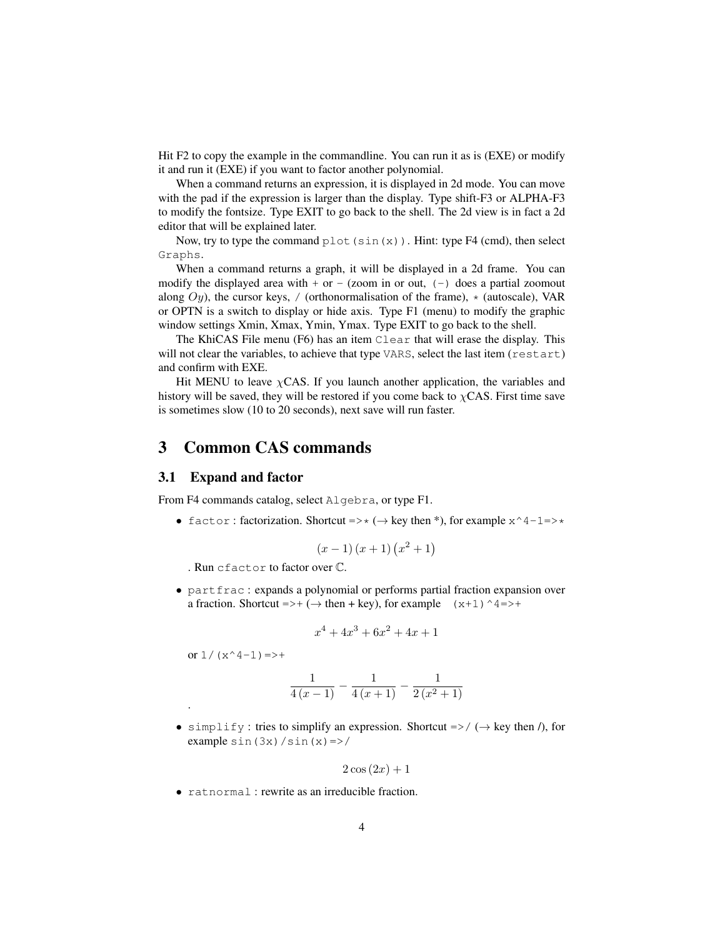Hit F2 to copy the example in the commandline. You can run it as is (EXE) or modify it and run it (EXE) if you want to factor another polynomial.

When a command returns an expression, it is displayed in 2d mode. You can move with the pad if the expression is larger than the display. Type shift-F3 or ALPHA-F3 to modify the fontsize. Type EXIT to go back to the shell. The 2d view is in fact a 2d editor that will be explained later.

Now, try to type the command  $p$ lot (sin(x)). Hint: type F4 (cmd), then select Graphs.

When a command returns a graph, it will be displayed in a 2d frame. You can modify the displayed area with  $+$  or  $-$  (zoom in or out,  $(-)$  does a partial zoomout along  $Oy$ ), the cursor keys, / (orthonormalisation of the frame),  $\star$  (autoscale), VAR or OPTN is a switch to display or hide axis. Type F1 (menu) to modify the graphic window settings Xmin, Xmax, Ymin, Ymax. Type EXIT to go back to the shell.

The KhiCAS File menu (F6) has an item Clear that will erase the display. This will not clear the variables, to achieve that type VARS, select the last item (restart) and confirm with EXE.

Hit MENU to leave  $\chi$ CAS. If you launch another application, the variables and history will be saved, they will be restored if you come back to  $\chi$ CAS. First time save is sometimes slow (10 to 20 seconds), next save will run faster.

# <span id="page-3-0"></span>3 Common CAS commands

#### <span id="page-3-1"></span>3.1 Expand and factor

From F4 commands catalog, select Algebra, or type F1.

• factor: factorization. Shortcut =>\* ( $\rightarrow$  key then \*), for example  $x^4-1=>$ \*

$$
(x-1)(x+1)(x^2+1)
$$

. Run cfactor to factor over C.

• partfrac : expands a polynomial or performs partial fraction expansion over a fraction. Shortcut =>+ ( $\rightarrow$  then + key), for example (x+1)^4=>+

$$
x^4 + 4x^3 + 6x^2 + 4x + 1
$$

or  $1/(x^4-1)$  =>+

.

$$
\frac{1}{4(x-1)} - \frac{1}{4(x+1)} - \frac{1}{2(x^2+1)}
$$

• simplify: tries to simplify an expression. Shortcut  $\Rightarrow$  / ( $\rightarrow$  key then /), for example  $sin(3x)/sin(x)=>$ 

$$
2\cos\left(2x\right) + 1
$$

• ratnormal : rewrite as an irreducible fraction.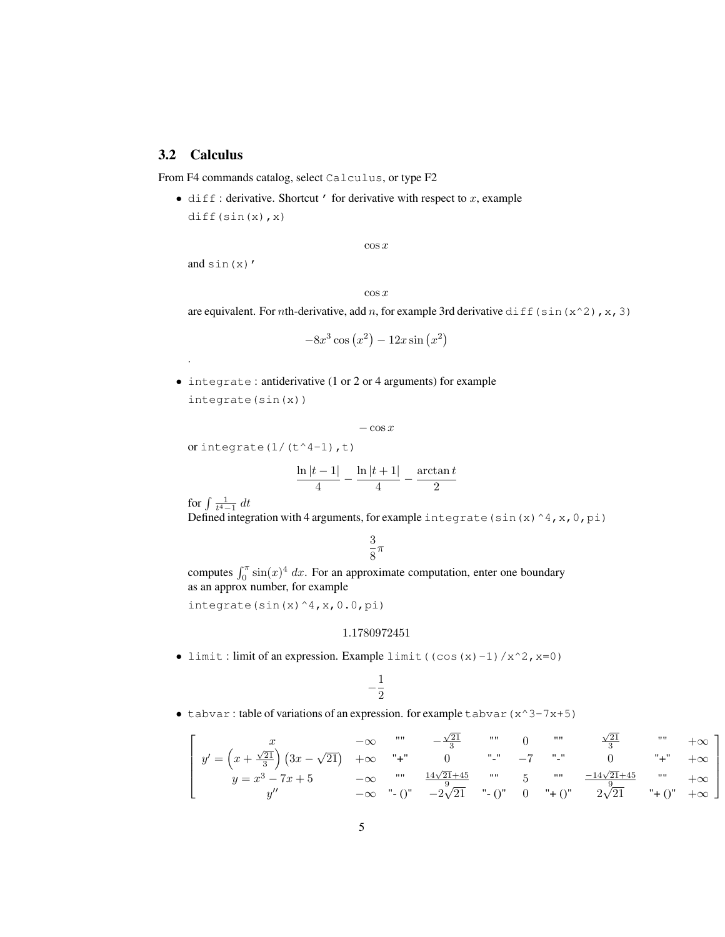# <span id="page-4-0"></span>3.2 Calculus

From F4 commands catalog, select Calculus, or type F2

• diff: derivative. Shortcut ' for derivative with respect to  $x$ , example diff(sin(x),x)

 $\cos x$ 

and sin(x)'

.

 $\cos x$ 

are equivalent. For *n*th-derivative, add *n*, for example 3rd derivative diff(sin(x^2),x,3)

$$
-8x^3\cos\left(x^2\right) - 12x\sin\left(x^2\right)
$$

• integrate : antiderivative (1 or 2 or 4 arguments) for example integrate(sin(x))

$$
-\cos x
$$

or integrate $(1/(t^4-1),t)$ 

$$
\frac{\ln|t-1|}{4} - \frac{\ln|t+1|}{4} - \frac{\arctan t}{2}
$$

for  $\int \frac{1}{t^4-1} dt$ 

Defined integration with 4 arguments, for example integrate (sin(x)^4,x,0,pi)

3  $\frac{5}{8}\pi$ 

computes  $\int_0^{\pi} \sin(x)^4 dx$ . For an approximate computation, enter one boundary as an approx number, for example

integrate(sin(x)^4,x,0.0,pi)

#### 1.1780972451

• limit: limit of an expression. Example limit ((cos(x)-1)/x^2, x=0)

$$
-\frac{1}{2}
$$

• tabvar: table of variations of an expression. for example tabvar  $(x^3-7x+5)$ 

$$
\begin{bmatrix}\nx & -\infty & \cdots & -\frac{\sqrt{21}}{3} & \cdots & 0 & \cdots & \frac{\sqrt{21}}{3} & \cdots & +\infty \\
y' = \left(x + \frac{\sqrt{21}}{3}\right) \left(3x - \sqrt{21}\right) & +\infty & \cdots & 0 & \cdots & -7 & \cdots & 0 & \cdots + \cdots +\infty \\
y = x^3 - 7x + 5 & -\infty & \cdots & \frac{14\sqrt{21} + 45}{9} & \cdots & 5 & \cdots & \frac{-14\sqrt{21} + 45}{9} & \cdots & +\infty \\
y'' & -\infty & \cdots & 0 & -2\sqrt{21} & \cdots & 0 & \cdots + 0 & 2\sqrt{21} & \cdots + 0 & +\infty\n\end{bmatrix}
$$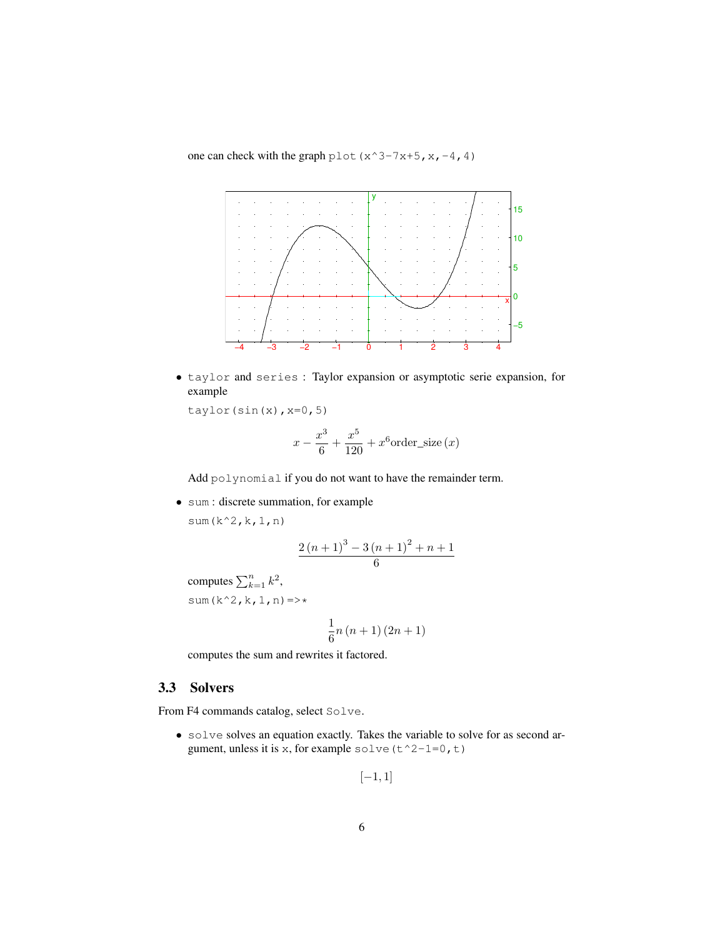one can check with the graph plot  $(x^3-7x+5, x, -4, 4)$ 



• taylor and series : Taylor expansion or asymptotic serie expansion, for example

taylor(sin(x), $x=0,5$ )

$$
x - \frac{x^3}{6} + \frac{x^5}{120} + x^6 \text{order\_size} (x)
$$

Add polynomial if you do not want to have the remainder term.

• sum : discrete summation, for example

sum(k^2,k,1,n)

$$
\frac{2(n+1)^3 - 3(n+1)^2 + n+1}{6}
$$

computes  $\sum_{k=1}^{n} k^2$ , sum( $k^2, k, 1, n$ ) =>\*

$$
\frac{1}{6}n\left(n+1\right)\left(2n+1\right)
$$

computes the sum and rewrites it factored.

# <span id="page-5-0"></span>3.3 Solvers

From F4 commands catalog, select Solve.

• solve solves an equation exactly. Takes the variable to solve for as second argument, unless it is x, for example solve ( $t^2$ -1=0,t)

$$
[-1,1]
$$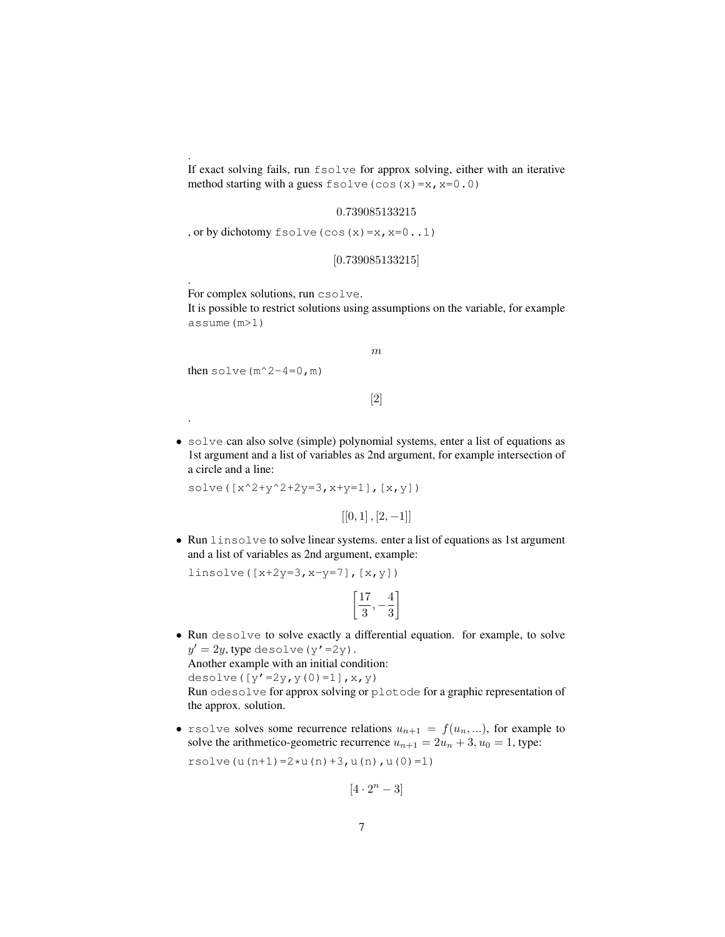If exact solving fails, run fsolve for approx solving, either with an iterative method starting with a guess  $f \circ \text{close}(\cos(x) = x, x = 0.0)$ 

#### 0.739085133215

, or by dichotomy fsolve(cos(x)=x,x=0..1)

```
[0.739085133215]
```
For complex solutions, run csolve.

It is possible to restrict solutions using assumptions on the variable, for example assume(m>1)

```
m
```
then solve  $(m^2-4=0, m)$ 

.

.

.

```
[2]
```
• solve can also solve (simple) polynomial systems, enter a list of equations as 1st argument and a list of variables as 2nd argument, for example intersection of a circle and a line:

solve( $[x^2+y^2+2y=3, x+y=1], [x,y])$ 

 $[[0, 1], [2, -1]]$ 

• Run linsolve to solve linear systems. enter a list of equations as 1st argument and a list of variables as 2nd argument, example:

linsolve( $[x+2y=3, x-y=7]$ ,  $[x, y]$ )

$$
\left[\frac{17}{3},-\frac{4}{3}\right]
$$

• Run desolve to solve exactly a differential equation. for example, to solve  $y'=2y$ , type desolve (y'=2y). Another example with an initial condition: desolve( $[y'=2y, y(0)=1]$ , x, y)

Run odesolve for approx solving or plotode for a graphic representation of the approx. solution.

• rsolve solves some recurrence relations  $u_{n+1} = f(u_n, \ldots)$ , for example to solve the arithmetico-geometric recurrence  $u_{n+1} = 2u_n + 3$ ,  $u_0 = 1$ , type:

rsolve $(u(n+1)=2*u(n)+3, u(n), u(0)=1)$ 

 $[4 \cdot 2^n - 3]$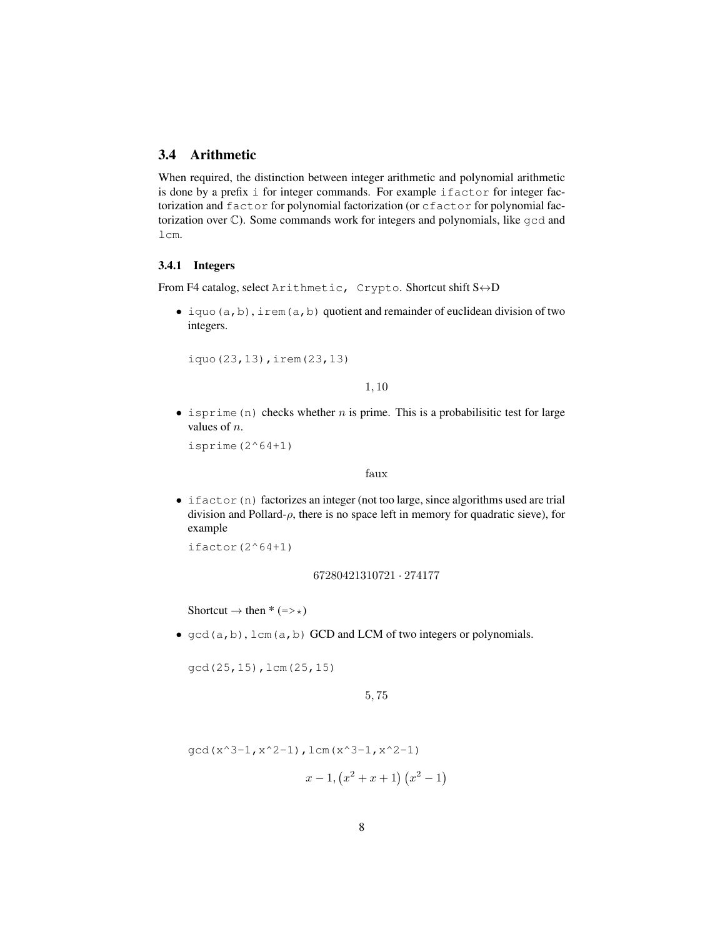# <span id="page-7-0"></span>3.4 Arithmetic

When required, the distinction between integer arithmetic and polynomial arithmetic is done by a prefix i for integer commands. For example ifactor for integer factorization and factor for polynomial factorization (or cfactor for polynomial factorization over C). Some commands work for integers and polynomials, like gcd and lcm.

### <span id="page-7-1"></span>3.4.1 Integers

From F4 catalog, select Arithmetic, Crypto. Shortcut shift S↔D

• iquo $(a, b)$ , irem $(a, b)$  quotient and remainder of euclidean division of two integers.

iquo(23,13),irem(23,13)

1, 10

• isprime (n) checks whether *n* is prime. This is a probabilisitic test for large values of n.

```
isprime(2^664+1)
```
#### faux

• ifactor(n) factorizes an integer (not too large, since algorithms used are trial division and Pollard- $\rho$ , there is no space left in memory for quadratic sieve), for example

 $ifactor(2^64+1)$ 

#### 67280421310721 · 274177

Shortcut  $\rightarrow$  then  $*(=>*)$ 

•  $gcd(a, b)$ ,  $lcm(a, b)$  GCD and LCM of two integers or polynomials.

gcd(25,15),lcm(25,15)

```
5, 75
```

$$
\gcd(x^3 - 1, x^2 - 1), \text{lcm}(x^3 - 1, x^2 - 1)
$$

$$
x-1, (x^2+x+1) (x^2-1)
$$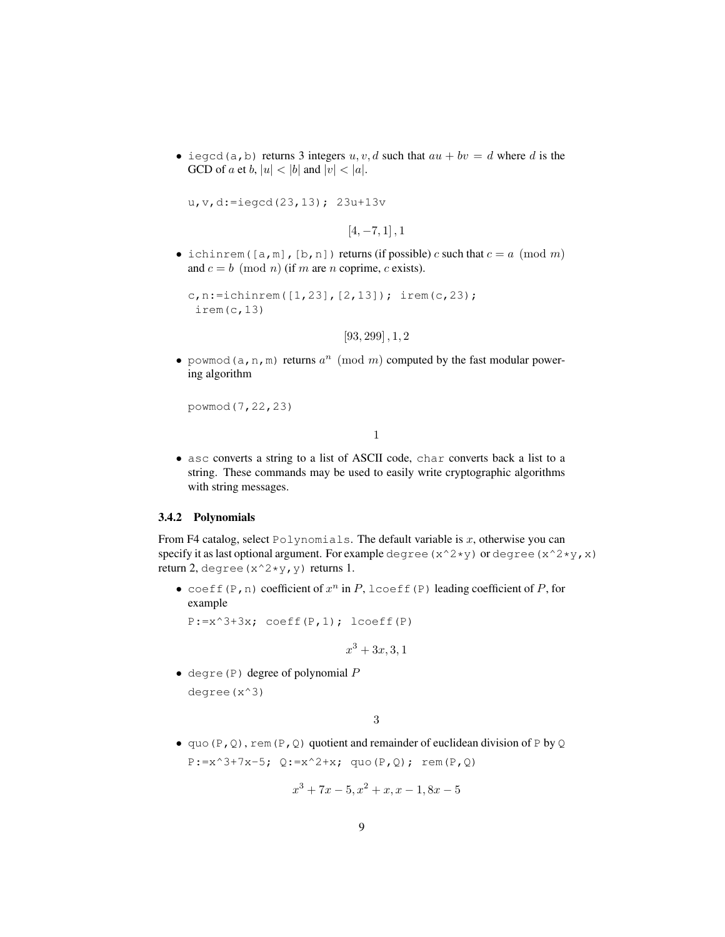• iegcd(a,b) returns 3 integers  $u, v, d$  such that  $au + bv = d$  where d is the GCD of a et b,  $|u| < |b|$  and  $|v| < |a|$ .

u,v,d:=iegcd(23,13); 23u+13v

 $[4, -7, 1]$ , 1

• ichinrem([a,m],[b,n]) returns (if possible) c such that  $c = a \pmod{m}$ and  $c = b \pmod{n}$  (if m are n coprime, c exists).

```
c,n:=ichinrem([1,23],[2,13]); irem(c,23);
 irem(c,13)
```
[93, 299] , 1, 2

• powmod (a, n, m) returns  $a^n \pmod{m}$  computed by the fast modular powering algorithm

```
powmod(7,22,23)
```
1

• asc converts a string to a list of ASCII code, char converts back a list to a string. These commands may be used to easily write cryptographic algorithms with string messages.

#### <span id="page-8-0"></span>3.4.2 Polynomials

From F4 catalog, select Polynomials. The default variable is  $x$ , otherwise you can specify it as last optional argument. For example degree ( $x^2*y$ ) or degree ( $x^2*y$ , x) return 2, degree  $(x^2*y,y)$  returns 1.

• coeff(P, n) coefficient of  $x^n$  in P, lcoeff(P) leading coefficient of P, for example

 $P:=x^3+3x$ ; coeff $(P,1)$ ; lcoeff $(P)$ 

$$
x^3 + 3x, 3, 1
$$

• degre(P) degree of polynomial  $P$ degree(x^3)

3

• quo(P, Q), rem(P, Q) quotient and remainder of euclidean division of P by Q  $P:=x^3+7x-5$ ;  $Q:=x^2+x$ ; quo $(P,Q)$ ; rem $(P,Q)$ 

$$
x^3 + 7x - 5, x^2 + x, x - 1, 8x - 5
$$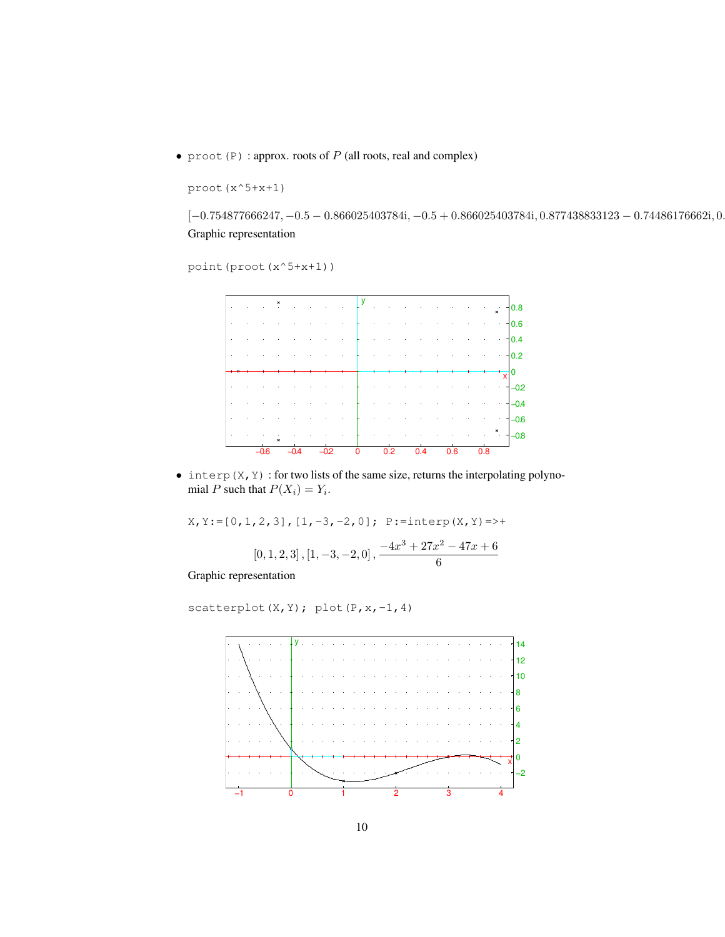• proot (P) : approx. roots of  $P$  (all roots, real and complex)

```
proot(x^5+x+1)
```
 $[-0.754877666247, -0.5 - 0.866025403784\mathrm{i}, -0.5 + 0.866025403784\mathrm{i}, 0.877438833123 - 0.74486176662\mathrm{i}, 0.8784833123 - 0.74486176662\mathrm{i}]$ Graphic representation

```
point(proot(x^5+x+1))
```


 $\bullet$  interp(X, Y) : for two lists of the same size, returns the interpolating polynomial P such that  $P(X_i) = Y_i$ .

 $X, Y := [0, 1, 2, 3], [1, -3, -2, 0];$   $P :=$ interp(X,Y) =>+

$$
\left[0,1,2,3\right], \left[1,-3,-2,0\right], \frac{-4x^3 + 27x^2 - 47x + 6}{6}
$$

Graphic representation

scatterplot(X,Y); plot(P,x,-1,4)

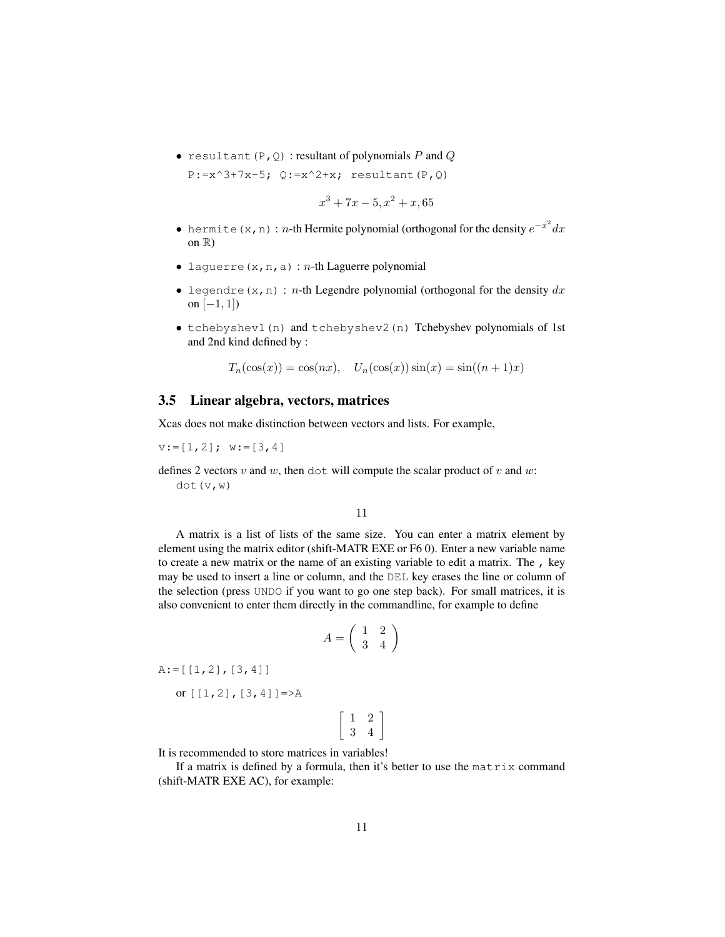• resultant  $(P, Q)$  : resultant of polynomials  $P$  and  $Q$  $P:=x^3+7x-5$ ;  $Q:=x^2+x$ ; resultant(P,Q)

$$
x^3 + 7x - 5, x^2 + x, 65
$$

- hermite (x, n) : n-th Hermite polynomial (orthogonal for the density  $e^{-x^2}dx$ on  $\mathbb{R}$ )
- laguerre(x, n, a) :  $n$ -th Laguerre polynomial
- legendre(x,n) : n-th Legendre polynomial (orthogonal for the density  $dx$ on  $[-1, 1]$ )
- tchebyshev1(n) and tchebyshev2(n) Tchebyshev polynomials of 1st and 2nd kind defined by :

 $T_n(\cos(x)) = \cos(nx), \quad U_n(\cos(x))\sin(x) = \sin((n+1)x)$ 

#### <span id="page-10-0"></span>3.5 Linear algebra, vectors, matrices

Xcas does not make distinction between vectors and lists. For example,

 $v:=[1,2];$   $w:=[3,4]$ 

defines 2 vectors v and w, then dot will compute the scalar product of v and w: dot(v,w)

11

A matrix is a list of lists of the same size. You can enter a matrix element by element using the matrix editor (shift-MATR EXE or F6 0). Enter a new variable name to create a new matrix or the name of an existing variable to edit a matrix. The , key may be used to insert a line or column, and the DEL key erases the line or column of the selection (press UNDO if you want to go one step back). For small matrices, it is also convenient to enter them directly in the commandline, for example to define

$$
A = \left(\begin{array}{cc} 1 & 2 \\ 3 & 4 \end{array}\right)
$$

 $A:=[[1,2],[3,4]]$ 

or  $[1,2]$ ,  $[3,4]$ ] =>A

$$
\left[\begin{array}{cc} 1 & 2 \\ 3 & 4 \end{array}\right]
$$

It is recommended to store matrices in variables!

If a matrix is defined by a formula, then it's better to use the matrix command (shift-MATR EXE AC), for example: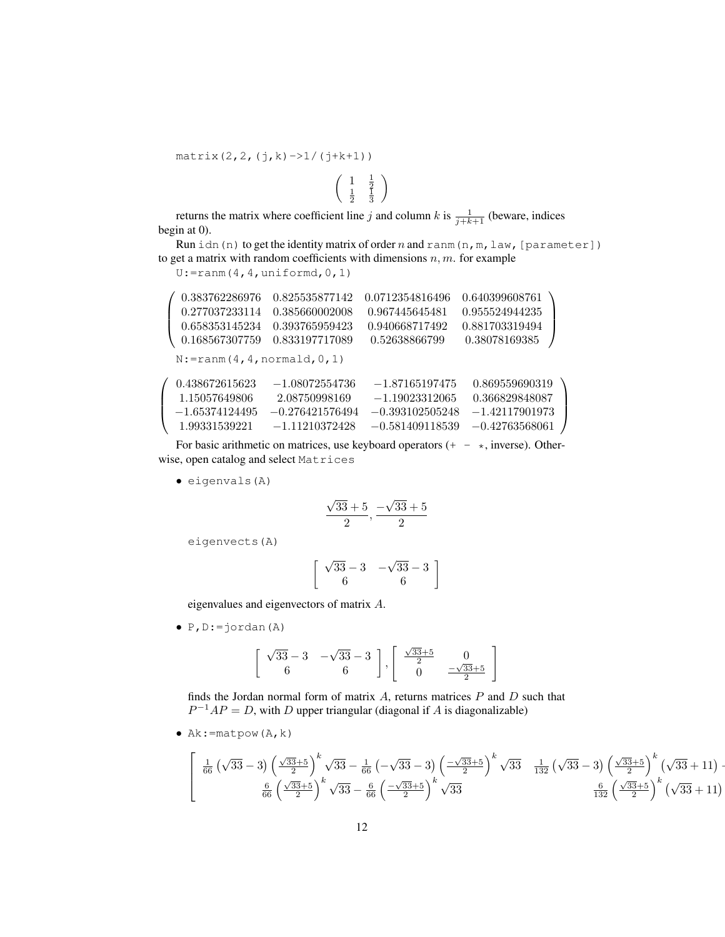$matrix(2,2,(j,k)\rightarrow 1/(j+k+1))$ 

returns the matrix where coefficient line j and column k is  $\frac{1}{j+k+1}$  (beware, indices begin at 0).

 $\left(\begin{array}{cc} 1 & \frac{1}{2} \\ \frac{1}{2} & \frac{1}{3} \end{array}\right)$ 

Run idn(n) to get the identity matrix of order  $n$  and ranm(n,m, law, [parameter]) to get a matrix with random coefficients with dimensions  $n, m$ . for example

 $\setminus$ 

U:=ranm(4,4,uniformd,0,1)

 $\sqrt{ }$  $\overline{\phantom{a}}$ 0.383762286976 0.825535877142 0.0712354816496 0.640399608761 0.277037233114 0.385660002008 0.967445645481 0.955524944235 0.658353145234 0.393765959423 0.940668717492 0.881703319494  $0.168567307759 \> \ 0.833197717089 \> \ 0.52638866799 \> \ 0.38078169385$  $\setminus$  $\Big\}$  $N:$ =ranm(4,4,normald,0,1)  $\sqrt{ }$  $\overline{\phantom{a}}$ 0.438672615623 −1.08072554736 −1.87165197475 0.869559690319 1.15057649806 2.08750998169 −1.19023312065 0.366829848087  $-1.65374124495 \quad -0.276421576494 \quad -0.393102505248 \quad -1.42117901973$ 1.99331539221 −1.11210372428 −0.581409118539 −0.42763568061  $\setminus$  $\Big\}$ 

For basic arithmetic on matrices, use keyboard operators  $(+-\star, \text{inverse})$ . Otherwise, open catalog and select Matrices

• eigenvals(A)

$$
\frac{\sqrt{33}+5}{2}, \frac{-\sqrt{33}+5}{2}
$$

eigenvects(A)

$$
\left[\begin{array}{cc} \sqrt{33} - 3 & -\sqrt{33} - 3 \\ 6 & 6 \end{array}\right]
$$

eigenvalues and eigenvectors of matrix A.

 $\bullet$  P, D: = jordan(A)

$$
\left[\begin{array}{cc} \sqrt{33} - 3 & -\sqrt{33} - 3 \\ 6 & 6 \end{array}\right], \left[\begin{array}{cc} \frac{\sqrt{33} + 5}{2} & 0 \\ 0 & \frac{-\sqrt{33} + 5}{2} \end{array}\right]
$$

finds the Jordan normal form of matrix  $A$ , returns matrices  $P$  and  $D$  such that  $P^{-1}AP = D$ , with D upper triangular (diagonal if A is diagonalizable)

•  $Ak: = matpow(A, k)$ 

$$
\left[\begin{array}{cc} \frac{1}{66} \left(\sqrt{33}-3\right) \left(\frac{\sqrt{33}+5}{2}\right)^k \sqrt{33}-\frac{1}{66} \left(-\sqrt{33}-3\right) \left(\frac{-\sqrt{33}+5}{2}\right)^k \sqrt{33} & \frac{1}{132} \left(\sqrt{33}-3\right) \left(\frac{\sqrt{33}+5}{2}\right)^k \left(\sqrt{33}+11\right) -\frac{6}{66} \left(\frac{\sqrt{33}+5}{2}\right)^k \sqrt{33}-\frac{6}{66} \left(\frac{-\sqrt{33}+5}{2}\right)^k \sqrt{33} & \frac{6}{132} \left(\frac{\sqrt{33}+5}{2}\right)^k \left(\sqrt{33}+11\right) \end{array}\right]
$$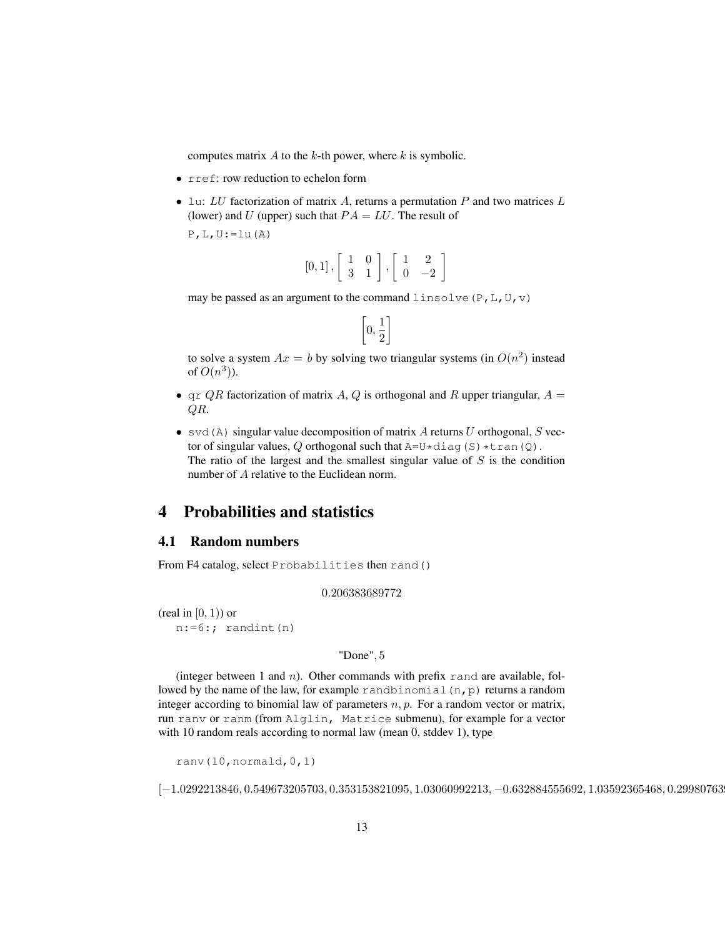computes matrix  $A$  to the  $k$ -th power, where  $k$  is symbolic.

- rref: row reduction to echelon form
- Lu: LU factorization of matrix A, returns a permutation  $P$  and two matrices  $L$ (lower) and U (upper) such that  $PA = LU$ . The result of

 $P$ , L, U:=lu(A)

$$
[0,1]\,, \left[\begin{array}{cc} 1 & 0 \\ 3 & 1 \end{array}\right], \left[\begin{array}{cc} 1 & 2 \\ 0 & -2 \end{array}\right]
$$

may be passed as an argument to the command linsolve (P, L, U, v)

$$
\left[0,\frac{1}{2}\right]
$$

to solve a system  $Ax = b$  by solving two triangular systems (in  $O(n^2)$  instead of  $O(n^3)$ ).

- $\alpha$  qr QR factorization of matrix A, Q is orthogonal and R upper triangular,  $A =$ QR.
- svd(A) singular value decomposition of matrix A returns U orthogonal, S vector of singular values, Q orthogonal such that  $A=U*diag(S)*tran(Q)$ . The ratio of the largest and the smallest singular value of  $S$  is the condition number of A relative to the Euclidean norm.

# <span id="page-12-0"></span>4 Probabilities and statistics

# <span id="page-12-1"></span>4.1 Random numbers

From F4 catalog, select Probabilities then rand()

0.206383689772

(real in  $[0, 1)$ ) or  $n:=6$ :; randint(n)

#### "Done", 5

(integer between 1 and  $n$ ). Other commands with prefix rand are available, followed by the name of the law, for example randbinomial  $(n, p)$  returns a random integer according to binomial law of parameters  $n, p$ . For a random vector or matrix, run ranv or ranm (from Alglin, Matrice submenu), for example for a vector with 10 random reals according to normal law (mean 0, stddev 1), type

ranv(10,normald,0,1)

 $[-1.0292213846, 0.549673205703, 0.353153821095, 1.03060992213, -0.632884555692, 1.03592365468, 0.29980763]$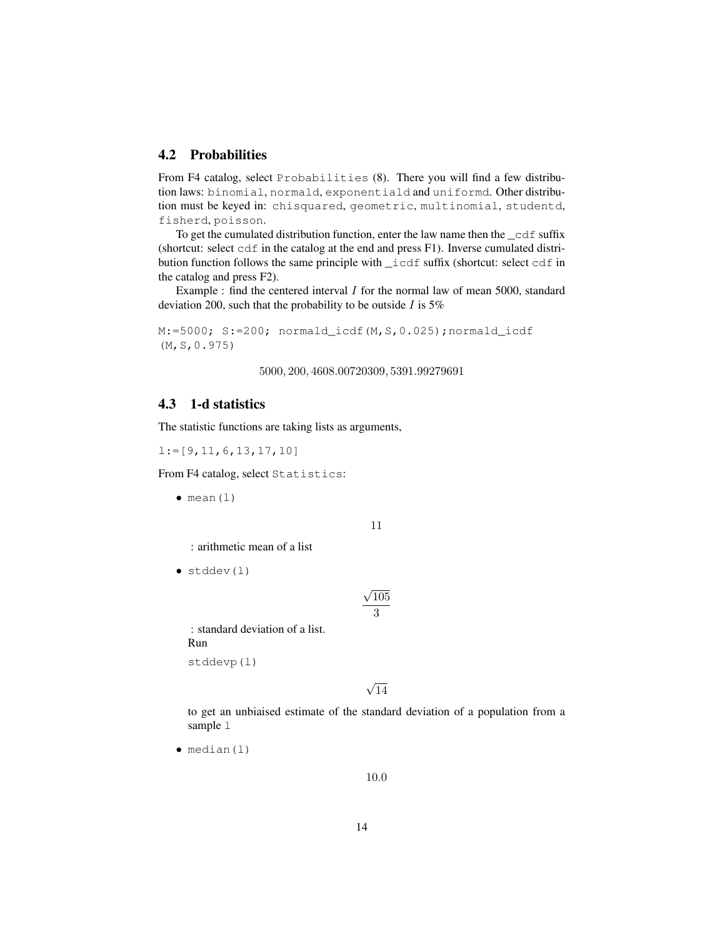# <span id="page-13-0"></span>4.2 Probabilities

From F4 catalog, select Probabilities (8). There you will find a few distribution laws: binomial, normald, exponentiald and uniformd. Other distribution must be keyed in: chisquared, geometric, multinomial, studentd, fisherd, poisson.

To get the cumulated distribution function, enter the law name then the \_cdf suffix (shortcut: select cdf in the catalog at the end and press F1). Inverse cumulated distribution function follows the same principle with \_icdf suffix (shortcut: select cdf in the catalog and press F2).

Example : find the centered interval  $I$  for the normal law of mean 5000, standard deviation 200, such that the probability to be outside  $I$  is 5%

M:=5000; S:=200; normald\_icdf(M,S,0.025);normald\_icdf (M,S,0.975)

5000, 200, 4608.00720309, 5391.99279691

# <span id="page-13-1"></span>4.3 1-d statistics

The statistic functions are taking lists as arguments,

l:=[9,11,6,13,17,10]

From F4 catalog, select Statistics:

 $\bullet$  mean(1)

11

: arithmetic mean of a list

 $\bullet$  stddev(1)

$$
\frac{\sqrt{105}}{3}
$$

: standard deviation of a list. Run

stddevp(l)

√ 14

to get an unbiaised estimate of the standard deviation of a population from a sample 1

 $\bullet$  median(l)

10.0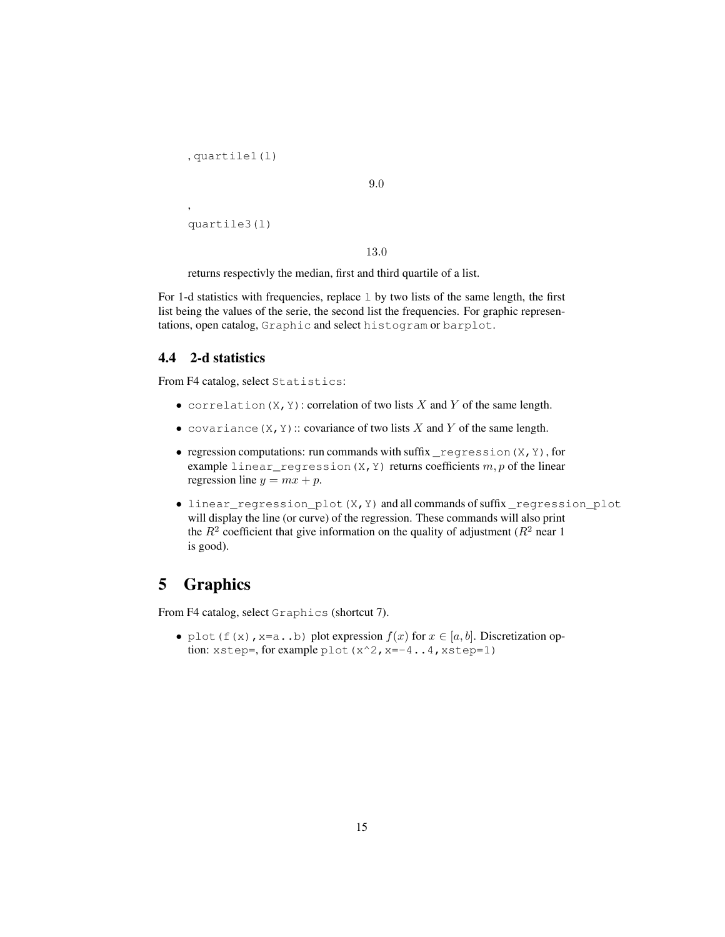```
, quartile1(l)
```

```
9.0
```

```
quartile3(l)
```
,

13.0

returns respectivly the median, first and third quartile of a list.

For 1-d statistics with frequencies, replace  $1$  by two lists of the same length, the first list being the values of the serie, the second list the frequencies. For graphic representations, open catalog, Graphic and select histogram or barplot.

# <span id="page-14-0"></span>4.4 2-d statistics

From F4 catalog, select Statistics:

- correlation  $(X, Y)$ : correlation of two lists X and Y of the same length.
- covariance  $(X, Y)$ : covariance of two lists X and Y of the same length.
- regression computations: run commands with suffix  $_r$  regression  $(X, Y)$ , for example linear\_regression(X, Y) returns coefficients  $m, p$  of the linear regression line  $y = mx + p$ .
- linear\_regression\_plot(X,Y) and all commands of suffix \_regression\_plot will display the line (or curve) of the regression. These commands will also print the  $R^2$  coefficient that give information on the quality of adjustment ( $R^2$  near 1 is good).

# <span id="page-14-1"></span>5 Graphics

From F4 catalog, select Graphics (shortcut 7).

• plot(f(x), x=a..b) plot expression  $f(x)$  for  $x \in [a, b]$ . Discretization option: xstep=, for example plot (x^2, x=-4..4, xstep=1)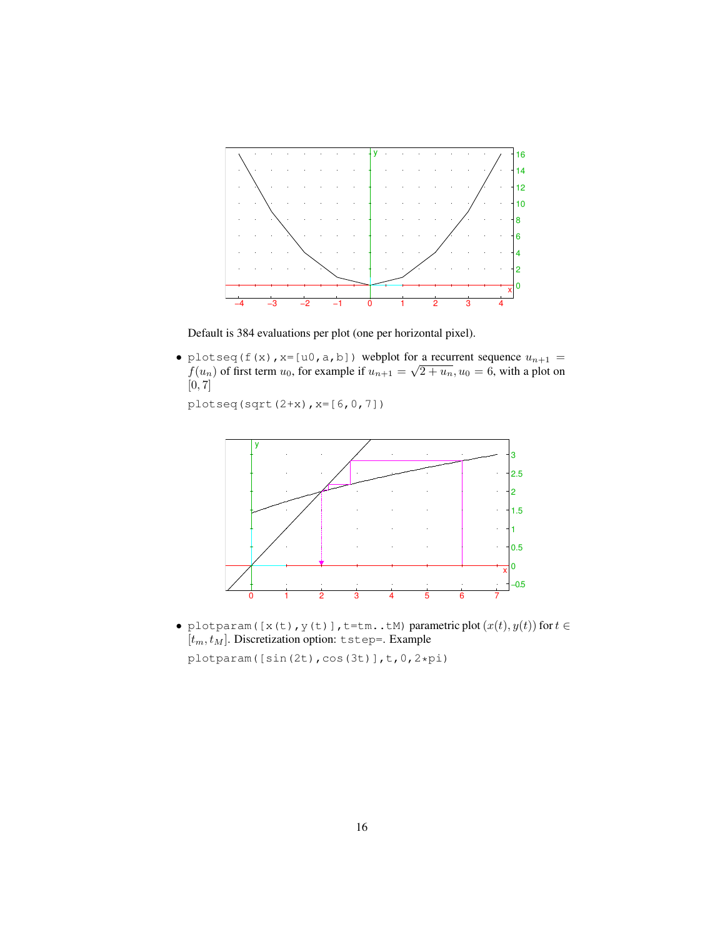

Default is 384 evaluations per plot (one per horizontal pixel).

• plotseq(f(x),  $x=[u0, a, b]$ ) webplot for a recurrent sequence  $u_{n+1} =$ procseq (1 (x), x=[u0, a, b]) webplot for a recurrent sequence  $u_{n+1} = f(u_n)$  of first term  $u_0$ , for example if  $u_{n+1} = \sqrt{2+u_n}$ ,  $u_0 = 6$ , with a plot on [0, 7]

plotseq(sqrt(2+x),x=[6,0,7])



• plotparam([x(t), y(t)],t=tm..tM) parametric plot  $(x(t), y(t))$  for  $t \in$  $[t_m, t_M]$ . Discretization option: tstep=. Example plotparam([sin(2t),cos(3t)],t,0,2\*pi)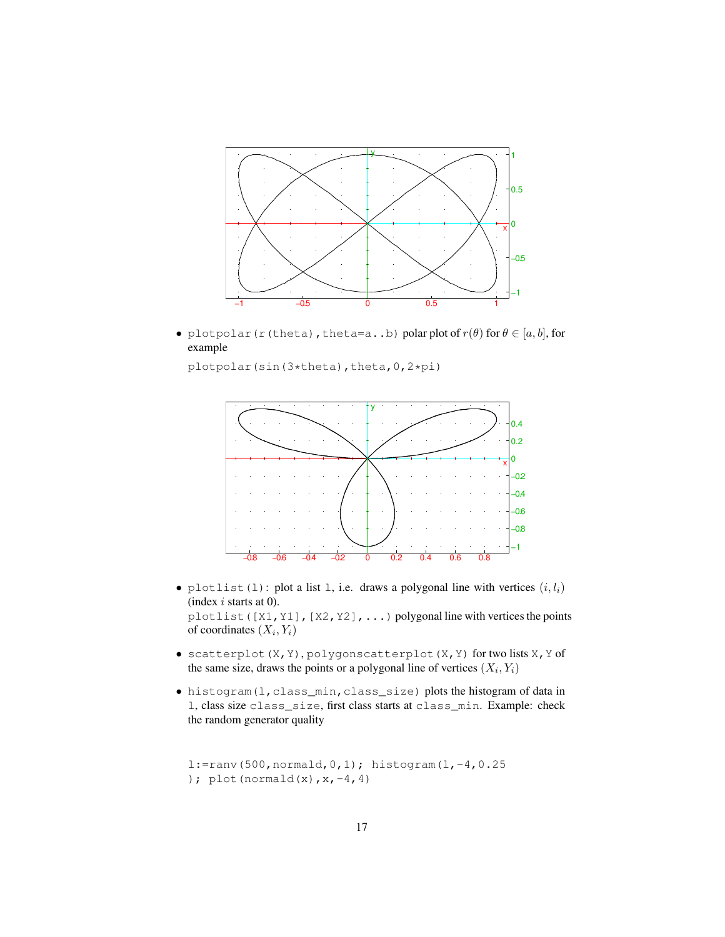

• plotpolar(r(theta), theta=a..b) polar plot of  $r(\theta)$  for  $\theta \in [a, b]$ , for example

plotpolar(sin(3\*theta),theta, 0, 2\*pi)



- plotlist(l): plot a list 1, i.e. draws a polygonal line with vertices  $(i, l_i)$ (index  $i$  starts at 0). plotlist([X1,Y1],[X2,Y2],...) polygonal line with vertices the points of coordinates  $(X_i, Y_i)$
- scatterplot(X,Y), polygonscatterplot(X,Y) for two lists X,Y of the same size, draws the points or a polygonal line of vertices  $(X_i, Y_i)$
- histogram(l,class\_min,class\_size) plots the histogram of data in l, class size class\_size, first class starts at class\_min. Example: check the random generator quality

```
l:=ranv(500,normald,0,1); histogram(l,-4,0.25
); plot(normald(x), x, -4, 4)
```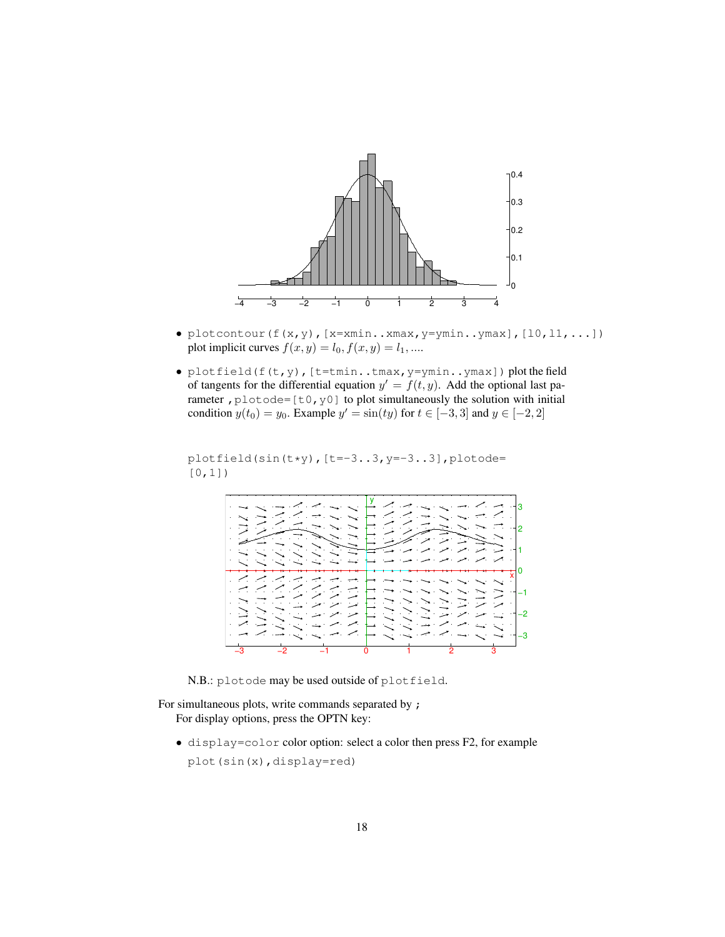

- plotcontour  $(f(x, y)$ ,  $[x=xmin..xmax, y=ymin..ymax]$ ,  $[10, 11, ...]$ ) plot implicit curves  $f(x, y) = l_0, f(x, y) = l_1, ...$
- plotfield(f(t,y), [t=tmin..tmax, y=ymin..ymax]) plot the field of tangents for the differential equation  $y' = f(t, y)$ . Add the optional last parameter,  $p$ lotode=[t0,y0] to plot simultaneously the solution with initial condition  $y(t_0) = y_0$ . Example  $y' = \sin(ty)$  for  $t \in [-3, 3]$  and  $y \in [-2, 2]$

```
plotfield(sin(t*y),[t=-3..3,y=-3..3],plotode=
[0,1])
```


N.B.: plotode may be used outside of plotfield.

For simultaneous plots, write commands separated by ; For display options, press the OPTN key:

• display=color color option: select a color then press F2, for example plot(sin(x),display=red)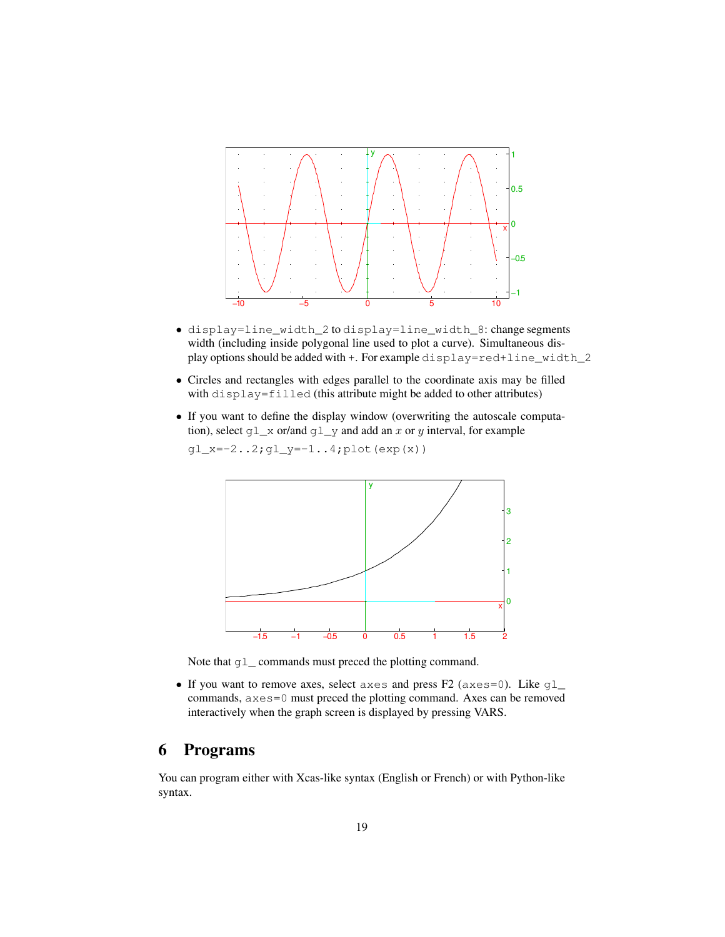

- display=line\_width\_2 to display=line\_width\_8: change segments width (including inside polygonal line used to plot a curve). Simultaneous display options should be added with +. For example display=red+line\_width\_2
- Circles and rectangles with edges parallel to the coordinate axis may be filled with display=filled (this attribute might be added to other attributes)
- If you want to define the display window (overwriting the autoscale computation), select  $g\perp_x$  or/and  $g\perp_y$  and add an x or y interval, for example

x[' y −1.5 −1 −0.5 0 0.5 1 1.5 2

0

1

2

3

 $gl_x=-2.2;gl_y=-1.4;plot(exp(x))$ 

Note that q<sub>1</sub> commands must preced the plotting command.

• If you want to remove axes, select axes and press F2 (axes=0). Like  $gl_{-}$ commands, axes=0 must preced the plotting command. Axes can be removed interactively when the graph screen is displayed by pressing VARS.

# <span id="page-18-0"></span>6 Programs

You can program either with Xcas-like syntax (English or French) or with Python-like syntax.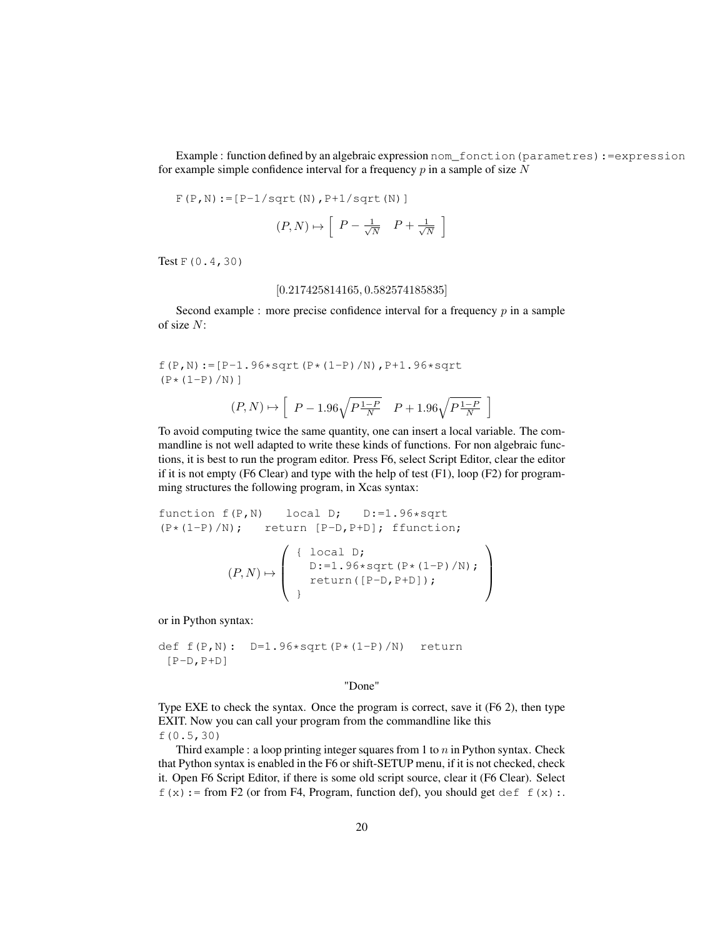Example : function defined by an algebraic expression nom\_fonction(parametres):=expression for example simple confidence interval for a frequency  $p$  in a sample of size  $N$ 

$$
F(P,N) := [P-1/sqrt(N), P+1/sqrt(N)]
$$

$$
(P, N) \mapsto \left[ P - \frac{1}{\sqrt{N}} \quad P + \frac{1}{\sqrt{N}} \right]
$$

Test F(0.4,30)

#### [0.217425814165, 0.582574185835]

Second example : more precise confidence interval for a frequency  $p$  in a sample of size N:

 $f(P,N):=[P-1.96*sqrt(P*(1-P)/N),P+1.96*sqrtt$  $(P * (1-P) / N)$ ]

$$
(P,N) \mapsto \left[ \begin{array}{cc} P-1.96\sqrt{P\frac{1-P}{N}} & P+1.96\sqrt{P\frac{1-P}{N}} \end{array} \right]
$$

To avoid computing twice the same quantity, one can insert a local variable. The commandline is not well adapted to write these kinds of functions. For non algebraic functions, it is best to run the program editor. Press F6, select Script Editor, clear the editor if it is not empty (F6 Clear) and type with the help of test (F1), loop (F2) for programming structures the following program, in Xcas syntax:

```
function f(P,N) local D; D:=1.96*sqrt
(P*(1-P)/N); return [P-D, P+D]; ffunction;
```

$$
(P,N) \mapsto \left( \begin{array}{c} \{ \begin{array}{c} \text{local D;} \\ \text{D:-1.96*sqrt(P*(1-P)/N)}; \\ \text{return([P-D,P+D]); \end{array} \end{array} \right)
$$

or in Python syntax:

```
def f(P,N): D=1.96*sqrt(P*(1-P)/N) return
 [P-D, P+D]
```
"Done"

Type EXE to check the syntax. Once the program is correct, save it (F6 2), then type EXIT. Now you can call your program from the commandline like this f(0.5,30)

Third example : a loop printing integer squares from 1 to  $n$  in Python syntax. Check that Python syntax is enabled in the F6 or shift-SETUP menu, if it is not checked, check it. Open F6 Script Editor, if there is some old script source, clear it (F6 Clear). Select  $f(x)$ : = from F2 (or from F4, Program, function def), you should get def f(x):.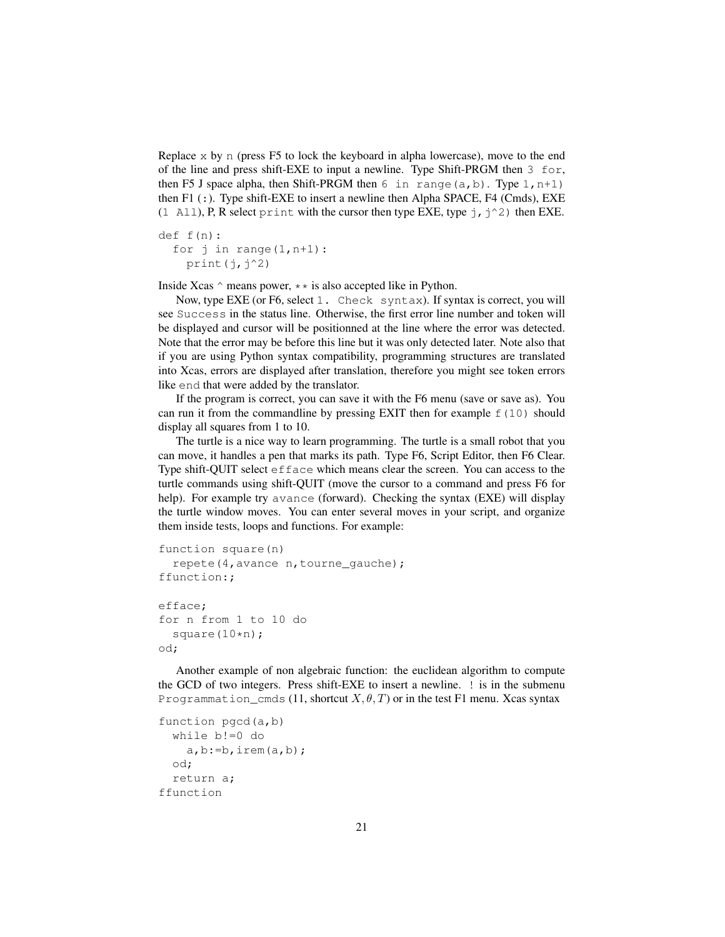Replace  $x$  by n (press F5 to lock the keyboard in alpha lowercase), move to the end of the line and press shift-EXE to input a newline. Type Shift-PRGM then 3 for, then F5 J space alpha, then Shift-PRGM then 6 in range  $(a, b)$ . Type 1, n+1) then F1  $($ : $)$ . Type shift-EXE to insert a newline then Alpha SPACE, F4 (Cmds), EXE (1 All), P, R select print with the cursor then type EXE, type  $j$ ,  $j^2$ ) then EXE.

```
def f(n):
  for \gamma in range(1, n+1):
    print(j, j^2)
```
Inside Xcas  $\land$  means power,  $\star \star$  is also accepted like in Python.

Now, type EXE (or F6, select 1. Check syntax). If syntax is correct, you will see Success in the status line. Otherwise, the first error line number and token will be displayed and cursor will be positionned at the line where the error was detected. Note that the error may be before this line but it was only detected later. Note also that if you are using Python syntax compatibility, programming structures are translated into Xcas, errors are displayed after translation, therefore you might see token errors like end that were added by the translator.

If the program is correct, you can save it with the F6 menu (save or save as). You can run it from the commandline by pressing EXIT then for example  $f(10)$  should display all squares from 1 to 10.

The turtle is a nice way to learn programming. The turtle is a small robot that you can move, it handles a pen that marks its path. Type F6, Script Editor, then F6 Clear. Type shift-QUIT select efface which means clear the screen. You can access to the turtle commands using shift-QUIT (move the cursor to a command and press F6 for help). For example try avance (forward). Checking the syntax (EXE) will display the turtle window moves. You can enter several moves in your script, and organize them inside tests, loops and functions. For example:

```
function square(n)
  repete(4,avance n,tourne_gauche);
ffunction:;
efface;
for n from 1 to 10 do
  square(10*n);
od;
```
Another example of non algebraic function: the euclidean algorithm to compute the GCD of two integers. Press shift-EXE to insert a newline. ! is in the submenu Programmation cmds (11, shortcut  $X, \theta, T$ ) or in the test F1 menu. Xcas syntax

```
function pgcd(a,b)
 while b!=0 do
    a,b:=b, irem(a,b);od;
 return a;
ffunction
```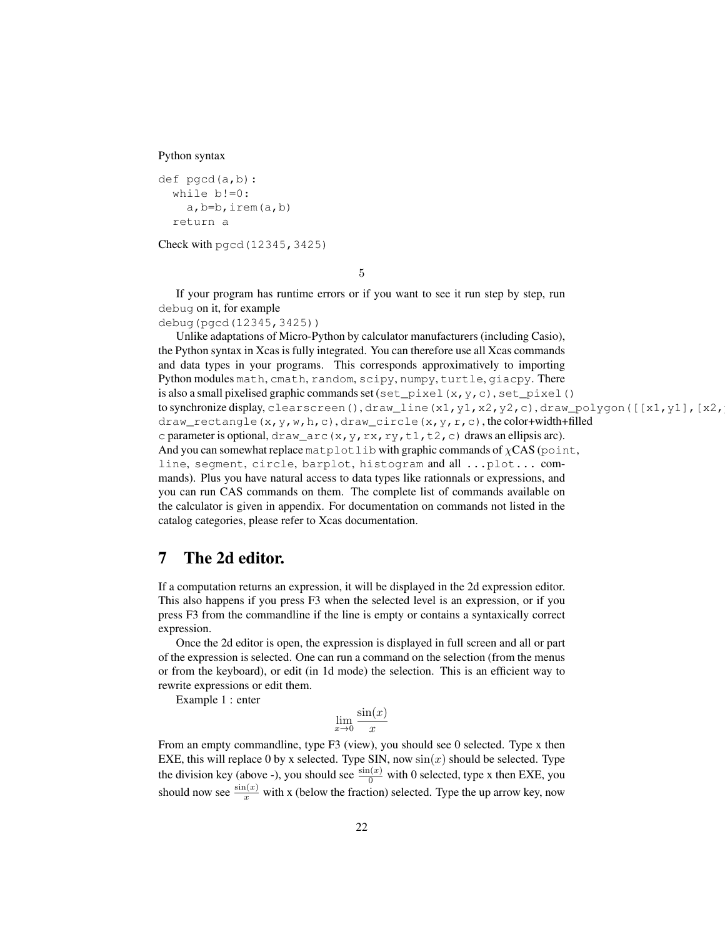Python syntax

```
def pgcd(a,b):
  while b!=0:
    a,b=b,irem(a,b)
  return a
```
Check with pgcd(12345,3425)

5

If your program has runtime errors or if you want to see it run step by step, run debug on it, for example debug(pgcd(12345,3425))

Unlike adaptations of Micro-Python by calculator manufacturers (including Casio), the Python syntax in Xcas is fully integrated. You can therefore use all Xcas commands and data types in your programs. This corresponds approximatively to importing Python modules math, cmath, random, scipy, numpy, turtle, giacpy. There is also a small pixelised graphic commands set (set\_pixel(x,y,c), set\_pixel() to synchronize display, clearscreen(), draw\_line(x1,y1,x2,y2,c), draw\_polygon([[x1,y1],[x2, draw\_rectangle(x, y, w, h, c), draw\_circle(x, y, r, c), the color+width+filled c parameter is optional, draw\_arc(x, y, rx, ry, t1, t2, c) draws an ellipsis arc). And you can somewhat replace matplotlib with graphic commands of  $\chi$ CAS (point, line, segment, circle, barplot, histogram and all ...plot... commands). Plus you have natural access to data types like rationnals or expressions, and you can run CAS commands on them. The complete list of commands available on the calculator is given in appendix. For documentation on commands not listed in the catalog categories, please refer to Xcas documentation.

# <span id="page-21-0"></span>7 The 2d editor.

If a computation returns an expression, it will be displayed in the 2d expression editor. This also happens if you press F3 when the selected level is an expression, or if you press F3 from the commandline if the line is empty or contains a syntaxically correct expression.

Once the 2d editor is open, the expression is displayed in full screen and all or part of the expression is selected. One can run a command on the selection (from the menus or from the keyboard), or edit (in 1d mode) the selection. This is an efficient way to rewrite expressions or edit them.

Example 1 : enter

$$
\lim_{x \to 0} \frac{\sin(x)}{x}
$$

From an empty commandline, type F3 (view), you should see 0 selected. Type x then EXE, this will replace 0 by x selected. Type SIN, now  $sin(x)$  should be selected. Type the division key (above -), you should see  $\frac{\sin(x)}{0}$  with 0 selected, type x then EXE, you should now see  $\frac{\sin(x)}{x}$  with x (below the fraction) selected. Type the up arrow key, now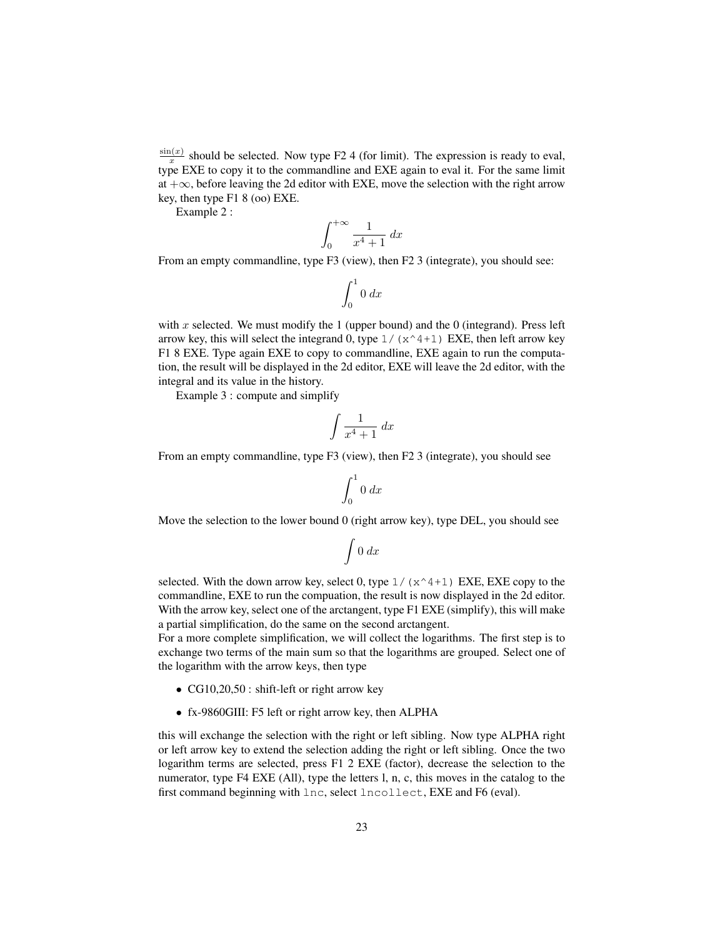$sin(x)$  $\frac{x(x)}{x}$  should be selected. Now type F2 4 (for limit). The expression is ready to eval, type EXE to copy it to the commandline and EXE again to eval it. For the same limit at +∞, before leaving the 2d editor with EXE, move the selection with the right arrow key, then type F1 8 (oo) EXE.

Example 2 :

$$
\int_0^{+\infty} \frac{1}{x^4 + 1} \, dx
$$

From an empty commandline, type F3 (view), then F2 3 (integrate), you should see:

$$
\int_0^1 0 \, dx
$$

with  $x$  selected. We must modify the 1 (upper bound) and the 0 (integrand). Press left arrow key, this will select the integrand 0, type  $1/(x^4+1)$  EXE, then left arrow key F1 8 EXE. Type again EXE to copy to commandline, EXE again to run the computation, the result will be displayed in the 2d editor, EXE will leave the 2d editor, with the integral and its value in the history.

Example 3 : compute and simplify

$$
\int \frac{1}{x^4 + 1} \, dx
$$

From an empty commandline, type F3 (view), then F2 3 (integrate), you should see

$$
\int_0^1 0 \, dx
$$

Move the selection to the lower bound 0 (right arrow key), type DEL, you should see

$$
\int 0 \, dx
$$

selected. With the down arrow key, select 0, type  $1/(x^4+1)$  EXE, EXE copy to the commandline, EXE to run the compuation, the result is now displayed in the 2d editor. With the arrow key, select one of the arctangent, type F1 EXE (simplify), this will make a partial simplification, do the same on the second arctangent.

For a more complete simplification, we will collect the logarithms. The first step is to exchange two terms of the main sum so that the logarithms are grouped. Select one of the logarithm with the arrow keys, then type

- CG10,20,50 : shift-left or right arrow key
- fx-9860GIII: F5 left or right arrow key, then ALPHA

this will exchange the selection with the right or left sibling. Now type ALPHA right or left arrow key to extend the selection adding the right or left sibling. Once the two logarithm terms are selected, press F1 2 EXE (factor), decrease the selection to the numerator, type F4 EXE (All), type the letters l, n, c, this moves in the catalog to the first command beginning with lnc, select lncollect, EXE and F6 (eval).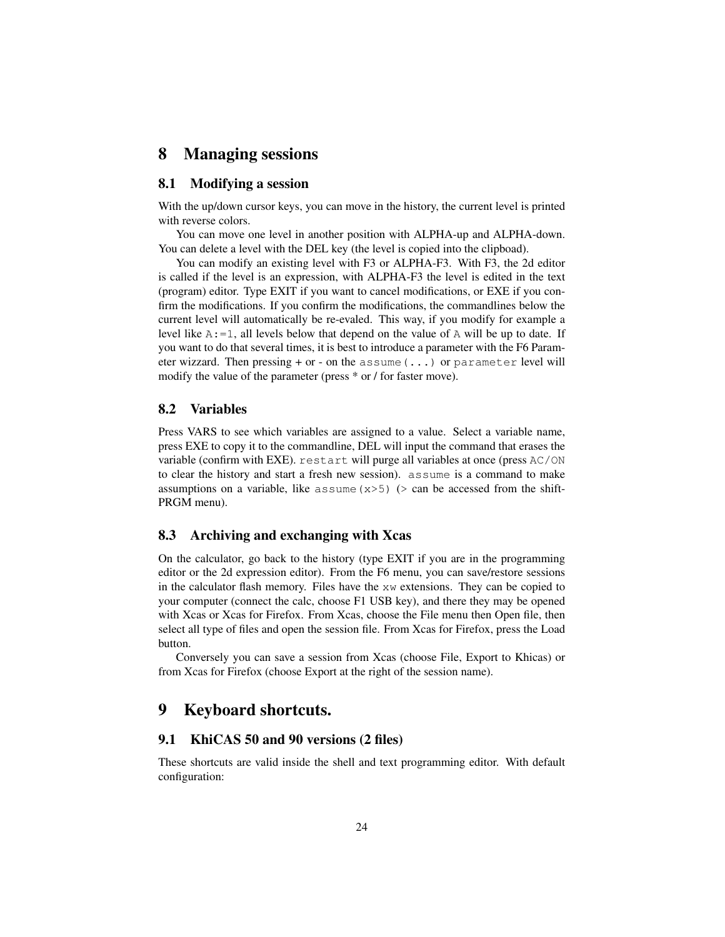# <span id="page-23-0"></span>8 Managing sessions

#### <span id="page-23-1"></span>8.1 Modifying a session

With the up/down cursor keys, you can move in the history, the current level is printed with reverse colors.

You can move one level in another position with ALPHA-up and ALPHA-down. You can delete a level with the DEL key (the level is copied into the clipboad).

You can modify an existing level with F3 or ALPHA-F3. With F3, the 2d editor is called if the level is an expression, with ALPHA-F3 the level is edited in the text (program) editor. Type EXIT if you want to cancel modifications, or EXE if you confirm the modifications. If you confirm the modifications, the commandlines below the current level will automatically be re-evaled. This way, if you modify for example a level like  $A: =1$ , all levels below that depend on the value of A will be up to date. If you want to do that several times, it is best to introduce a parameter with the F6 Parameter wizzard. Then pressing  $+$  or  $-$  on the assume  $( \ldots )$  or parameter level will modify the value of the parameter (press \* or / for faster move).

#### <span id="page-23-2"></span>8.2 Variables

Press VARS to see which variables are assigned to a value. Select a variable name, press EXE to copy it to the commandline, DEL will input the command that erases the variable (confirm with EXE). restart will purge all variables at once (press AC/ON to clear the history and start a fresh new session). assume is a command to make assumptions on a variable, like assume  $(x>5)$  ( $>$  can be accessed from the shift-PRGM menu).

# <span id="page-23-3"></span>8.3 Archiving and exchanging with Xcas

On the calculator, go back to the history (type EXIT if you are in the programming editor or the 2d expression editor). From the F6 menu, you can save/restore sessions in the calculator flash memory. Files have the  $x_w$  extensions. They can be copied to your computer (connect the calc, choose F1 USB key), and there they may be opened with Xcas or Xcas for Firefox. From Xcas, choose the File menu then Open file, then select all type of files and open the session file. From Xcas for Firefox, press the Load button.

Conversely you can save a session from Xcas (choose File, Export to Khicas) or from Xcas for Firefox (choose Export at the right of the session name).

# <span id="page-23-4"></span>9 Keyboard shortcuts.

# <span id="page-23-5"></span>9.1 KhiCAS 50 and 90 versions (2 files)

These shortcuts are valid inside the shell and text programming editor. With default configuration: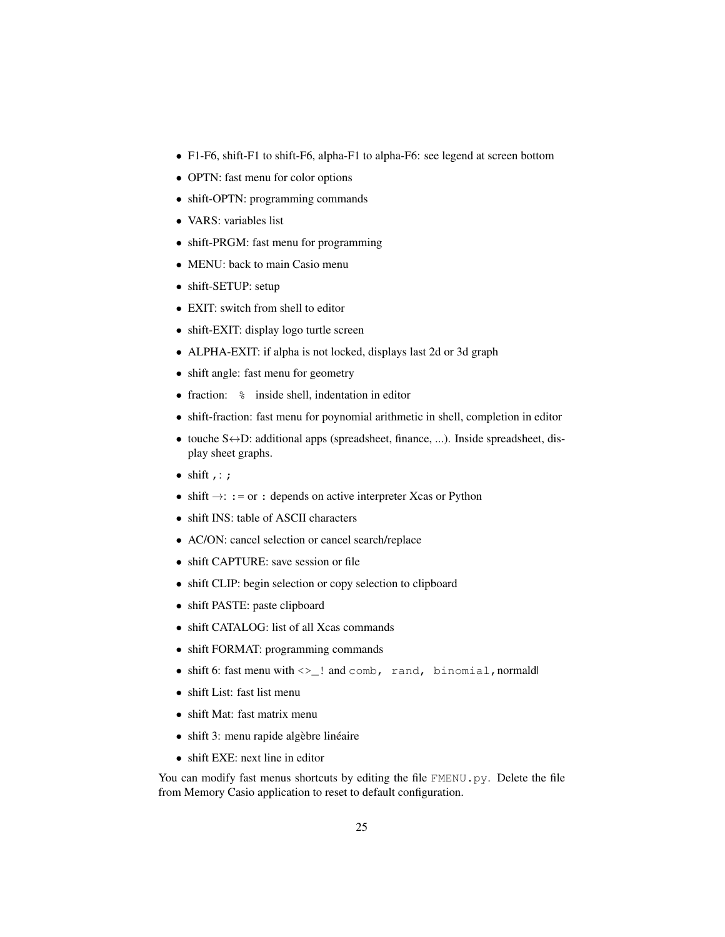- F1-F6, shift-F1 to shift-F6, alpha-F1 to alpha-F6: see legend at screen bottom
- OPTN: fast menu for color options
- shift-OPTN: programming commands
- VARS: variables list
- shift-PRGM: fast menu for programming
- MENU: back to main Casio menu
- shift-SETUP: setup
- EXIT: switch from shell to editor
- shift-EXIT: display logo turtle screen
- ALPHA-EXIT: if alpha is not locked, displays last 2d or 3d graph
- shift angle: fast menu for geometry
- fraction:  $\frac{1}{6}$  inside shell, indentation in editor
- shift-fraction: fast menu for poynomial arithmetic in shell, completion in editor
- touche S↔D: additional apps (spreadsheet, finance, ...). Inside spreadsheet, display sheet graphs.
- $\bullet$  shift  $, :$  ;
- shift  $\rightarrow$ : : = or : depends on active interpreter Xcas or Python
- shift INS: table of ASCII characters
- AC/ON: cancel selection or cancel search/replace
- shift CAPTURE: save session or file
- shift CLIP: begin selection or copy selection to clipboard
- shift PASTE: paste clipboard
- shift CATALOG: list of all Xcas commands
- shift FORMAT: programming commands
- $\bullet$  shift 6: fast menu with  $\lt>\_!$  and comb, rand, binomial, normald
- shift List: fast list menu
- shift Mat: fast matrix menu
- shift 3: menu rapide algèbre linéaire
- shift EXE: next line in editor

You can modify fast menus shortcuts by editing the file FMENU.py. Delete the file from Memory Casio application to reset to default configuration.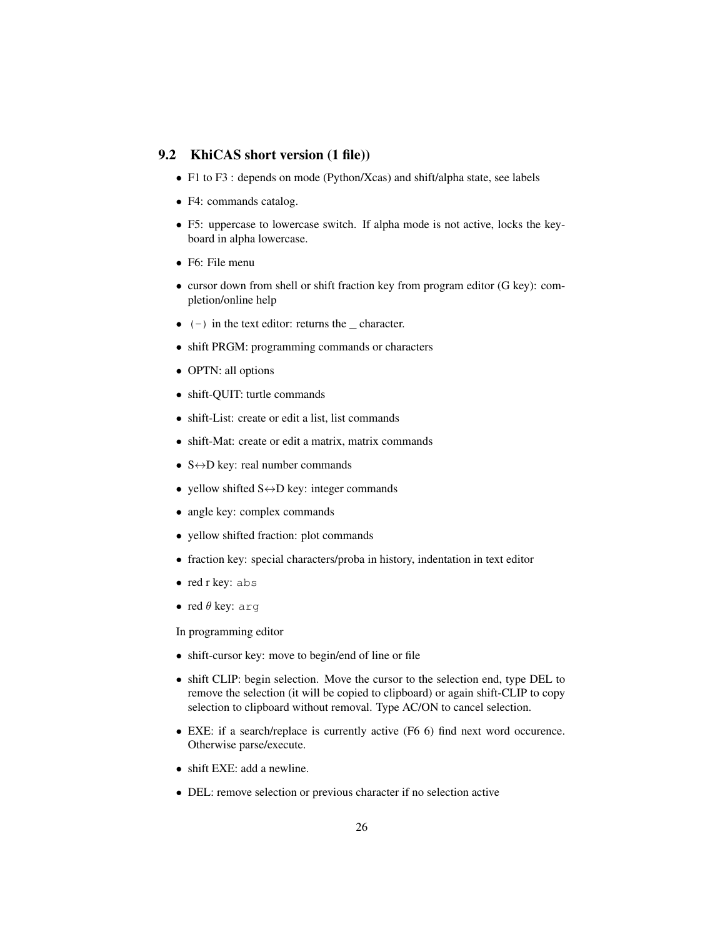# <span id="page-25-0"></span>9.2 KhiCAS short version (1 file))

- F1 to F3 : depends on mode (Python/Xcas) and shift/alpha state, see labels
- F4: commands catalog.
- F5: uppercase to lowercase switch. If alpha mode is not active, locks the keyboard in alpha lowercase.
- F6: File menu
- cursor down from shell or shift fraction key from program editor (G key): completion/online help
- $\bullet$  (-) in the text editor: returns the \_ character.
- shift PRGM: programming commands or characters
- OPTN: all options
- shift-QUIT: turtle commands
- shift-List: create or edit a list, list commands
- shift-Mat: create or edit a matrix, matrix commands
- $S \leftrightarrow D$  key: real number commands
- yellow shifted  $S \leftrightarrow D$  key: integer commands
- angle key: complex commands
- yellow shifted fraction: plot commands
- fraction key: special characters/proba in history, indentation in text editor
- red r key: abs
- red  $\theta$  key: arg

In programming editor

- shift-cursor key: move to begin/end of line or file
- shift CLIP: begin selection. Move the cursor to the selection end, type DEL to remove the selection (it will be copied to clipboard) or again shift-CLIP to copy selection to clipboard without removal. Type AC/ON to cancel selection.
- EXE: if a search/replace is currently active (F6 6) find next word occurence. Otherwise parse/execute.
- shift EXE: add a newline.
- DEL: remove selection or previous character if no selection active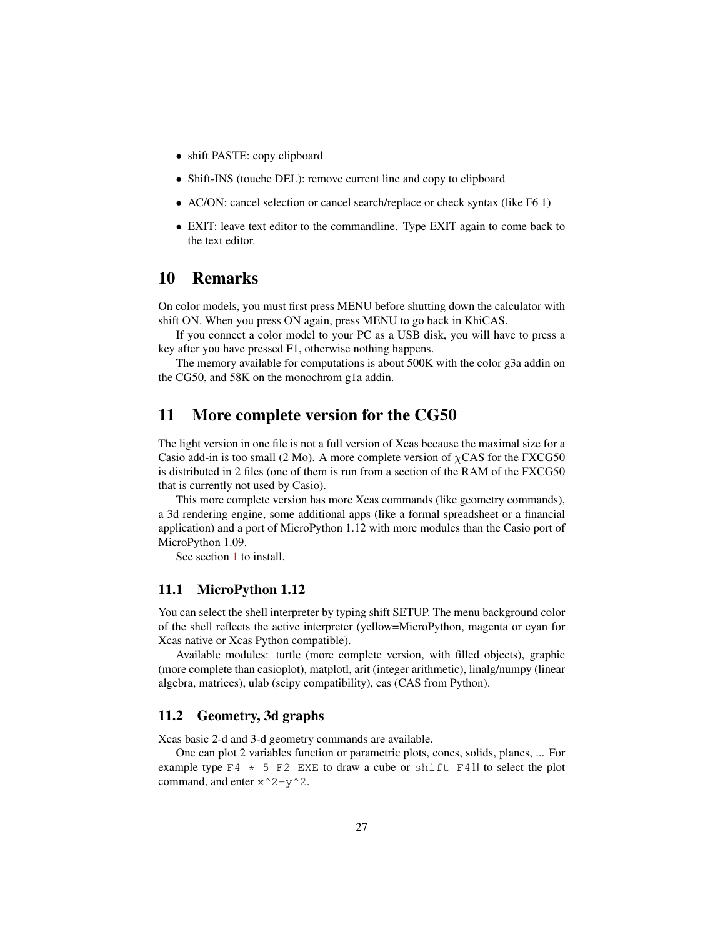- shift PASTE: copy clipboard
- Shift-INS (touche DEL): remove current line and copy to clipboard
- AC/ON: cancel selection or cancel search/replace or check syntax (like F6 1)
- EXIT: leave text editor to the commandline. Type EXIT again to come back to the text editor.

# <span id="page-26-0"></span>10 Remarks

On color models, you must first press MENU before shutting down the calculator with shift ON. When you press ON again, press MENU to go back in KhiCAS.

If you connect a color model to your PC as a USB disk, you will have to press a key after you have pressed F1, otherwise nothing happens.

The memory available for computations is about 500K with the color g3a addin on the CG50, and 58K on the monochrom g1a addin.

# <span id="page-26-1"></span>11 More complete version for the CG50

The light version in one file is not a full version of Xcas because the maximal size for a Casio add-in is too small (2 Mo). A more complete version of  $\chi$ CAS for the FXCG50 is distributed in 2 files (one of them is run from a section of the RAM of the FXCG50 that is currently not used by Casio).

This more complete version has more Xcas commands (like geometry commands), a 3d rendering engine, some additional apps (like a formal spreadsheet or a financial application) and a port of MicroPython 1.12 with more modules than the Casio port of MicroPython 1.09.

See section [1](#page-1-0) to install.

#### <span id="page-26-2"></span>11.1 MicroPython 1.12

You can select the shell interpreter by typing shift SETUP. The menu background color of the shell reflects the active interpreter (yellow=MicroPython, magenta or cyan for Xcas native or Xcas Python compatible).

Available modules: turtle (more complete version, with filled objects), graphic (more complete than casioplot), matplotl, arit (integer arithmetic), linalg/numpy (linear algebra, matrices), ulab (scipy compatibility), cas (CAS from Python).

## <span id="page-26-3"></span>11.2 Geometry, 3d graphs

Xcas basic 2-d and 3-d geometry commands are available.

One can plot 2 variables function or parametric plots, cones, solids, planes, ... For example type  $F4 \times 5$  F2 EXE to draw a cube or shift F41l to select the plot command, and enter  $x^2- y^2$ .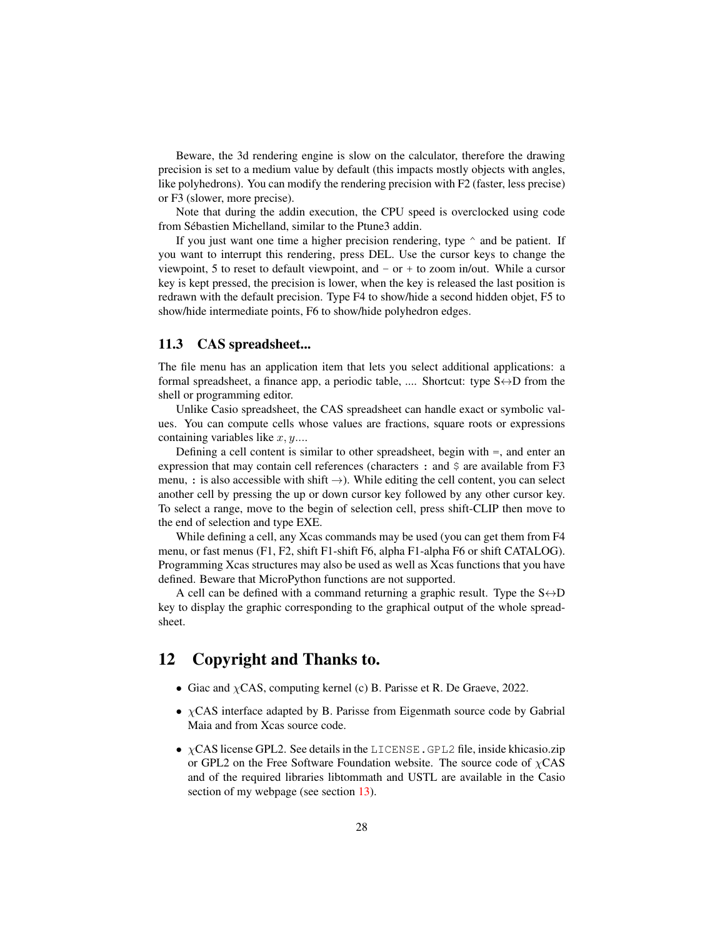Beware, the 3d rendering engine is slow on the calculator, therefore the drawing precision is set to a medium value by default (this impacts mostly objects with angles, like polyhedrons). You can modify the rendering precision with F2 (faster, less precise) or F3 (slower, more precise).

Note that during the addin execution, the CPU speed is overclocked using code from Sébastien Michelland, similar to the Ptune3 addin.

If you just want one time a higher precision rendering, type  $\hat{ }$  and be patient. If you want to interrupt this rendering, press DEL. Use the cursor keys to change the viewpoint, 5 to reset to default viewpoint, and - or + to zoom in/out. While a cursor key is kept pressed, the precision is lower, when the key is released the last position is redrawn with the default precision. Type F4 to show/hide a second hidden objet, F5 to show/hide intermediate points, F6 to show/hide polyhedron edges.

## <span id="page-27-0"></span>11.3 CAS spreadsheet...

The file menu has an application item that lets you select additional applications: a formal spreadsheet, a finance app, a periodic table, .... Shortcut: type  $S \leftrightarrow D$  from the shell or programming editor.

Unlike Casio spreadsheet, the CAS spreadsheet can handle exact or symbolic values. You can compute cells whose values are fractions, square roots or expressions containing variables like  $x, y, \ldots$ 

Defining a cell content is similar to other spreadsheet, begin with =, and enter an expression that may contain cell references (characters : and  $\frac{1}{2}$  are available from F3 menu, : is also accessible with shift  $\rightarrow$ ). While editing the cell content, you can select another cell by pressing the up or down cursor key followed by any other cursor key. To select a range, move to the begin of selection cell, press shift-CLIP then move to the end of selection and type EXE.

While defining a cell, any Xcas commands may be used (you can get them from F4 menu, or fast menus (F1, F2, shift F1-shift F6, alpha F1-alpha F6 or shift CATALOG). Programming Xcas structures may also be used as well as Xcas functions that you have defined. Beware that MicroPython functions are not supported.

A cell can be defined with a command returning a graphic result. Type the  $S \leftrightarrow D$ key to display the graphic corresponding to the graphical output of the whole spreadsheet.

# <span id="page-27-1"></span>12 Copyright and Thanks to.

- Giac and  $\chi$ CAS, computing kernel (c) B. Parisse et R. De Graeve, 2022.
- $\chi$ CAS interface adapted by B. Parisse from Eigenmath source code by Gabrial Maia and from Xcas source code.
- $\chi$ CAS license GPL2. See details in the LICENSE. GPL2 file, inside khicasio.zip or GPL2 on the Free Software Foundation website. The source code of  $\chi$ CAS and of the required libraries libtommath and USTL are available in the Casio section of my webpage (see section [13\)](#page-28-0).